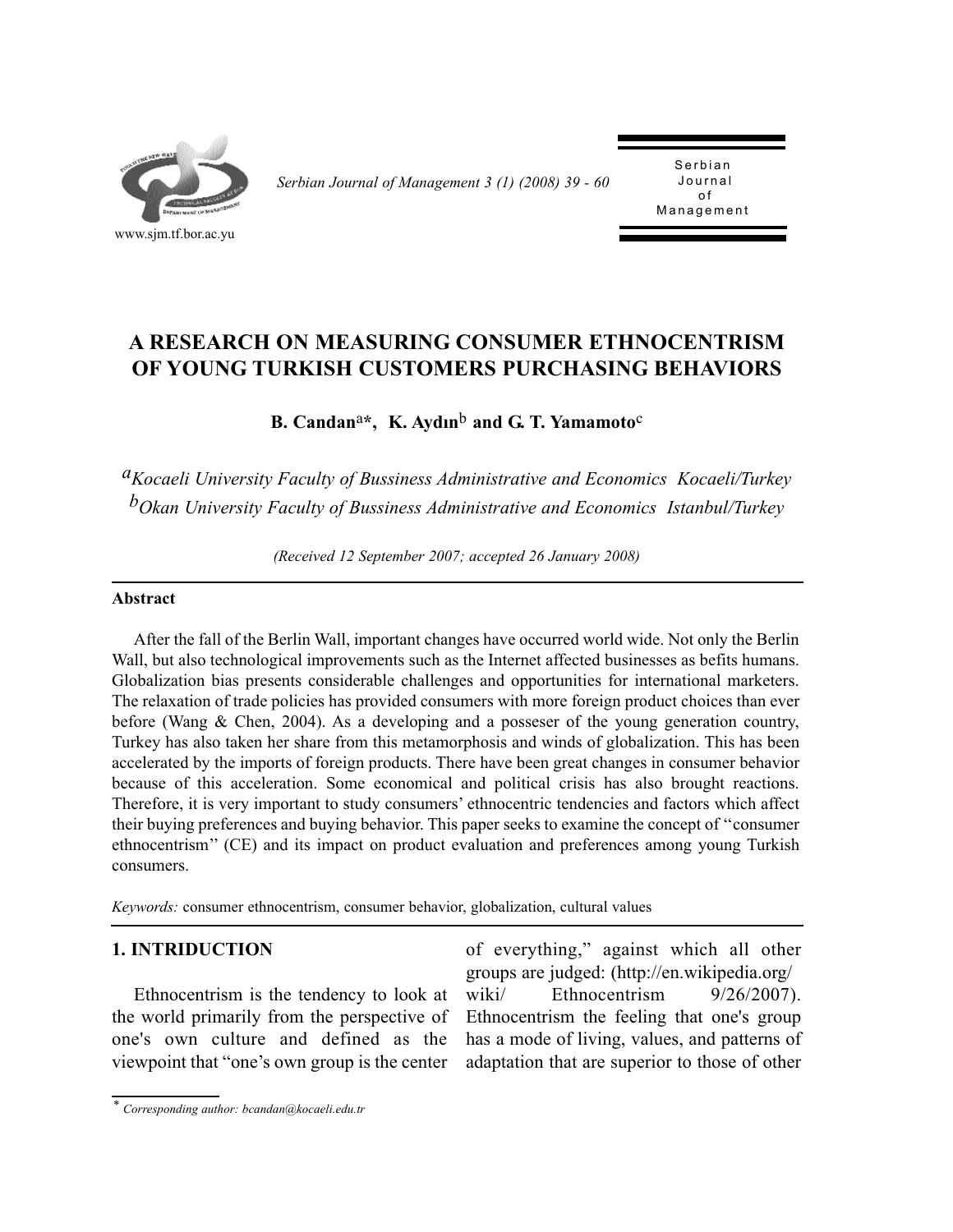

*Serbian Journal of Management 3 (1) (2008) 39 - 60* 

Serbian<br>Journal of Management Management

# **A RESEARCH ON MEASURING CONSUMER ETHNOCENTRISM OF YOUNG TURKISH CUSTOMERS PURCHASING BEHAVIORS**

**B. Candan**a**\*, K. Aydın**b **and G. T. Yamamoto**c

*aKocaeli University Faculty of Bussiness Administrative and Economics Kocaeli/Turkey bOkan University Faculty of Bussiness Administrative and Economics Istanbul/Turkey*

*(Received 12 September 2007; accepted 26 January 2008)*

#### **Abstract**

After the fall of the Berlin Wall, important changes have occurred world wide. Not only the Berlin Wall, but also technological improvements such as the Internet affected businesses as befits humans. Globalization bias presents considerable challenges and opportunities for international marketers. The relaxation of trade policies has provided consumers with more foreign product choices than ever before (Wang & Chen, 2004). As a developing and a posseser of the young generation country, Turkey has also taken her share from this metamorphosis and winds of globalization. This has been accelerated by the imports of foreign products. There have been great changes in consumer behavior because of this acceleration. Some economical and political crisis has also brought reactions. Therefore, it is very important to study consumers' ethnocentric tendencies and factors which affect their buying preferences and buying behavior. This paper seeks to examine the concept of ''consumer ethnocentrism'' (CE) and its impact on product evaluation and preferences among young Turkish consumers.

*Keywords:* consumer ethnocentrism, consumer behavior, globalization, cultural values

### **1. INTRIDUCTION**

Ethnocentrism is the tendency to look at the world primarily from the perspective of one's own culture and defined as the viewpoint that "one's own group is the center

of everything," against which all other groups are judged: (http://en.wikipedia.org/ wiki/ Ethnocentrism  $9/26/2007$ ). Ethnocentrism the feeling that one's group has a mode of living, values, and patterns of adaptation that are superior to those of other

*<sup>\*</sup> Corresponding author: bcandan@kocaeli.edu.tr*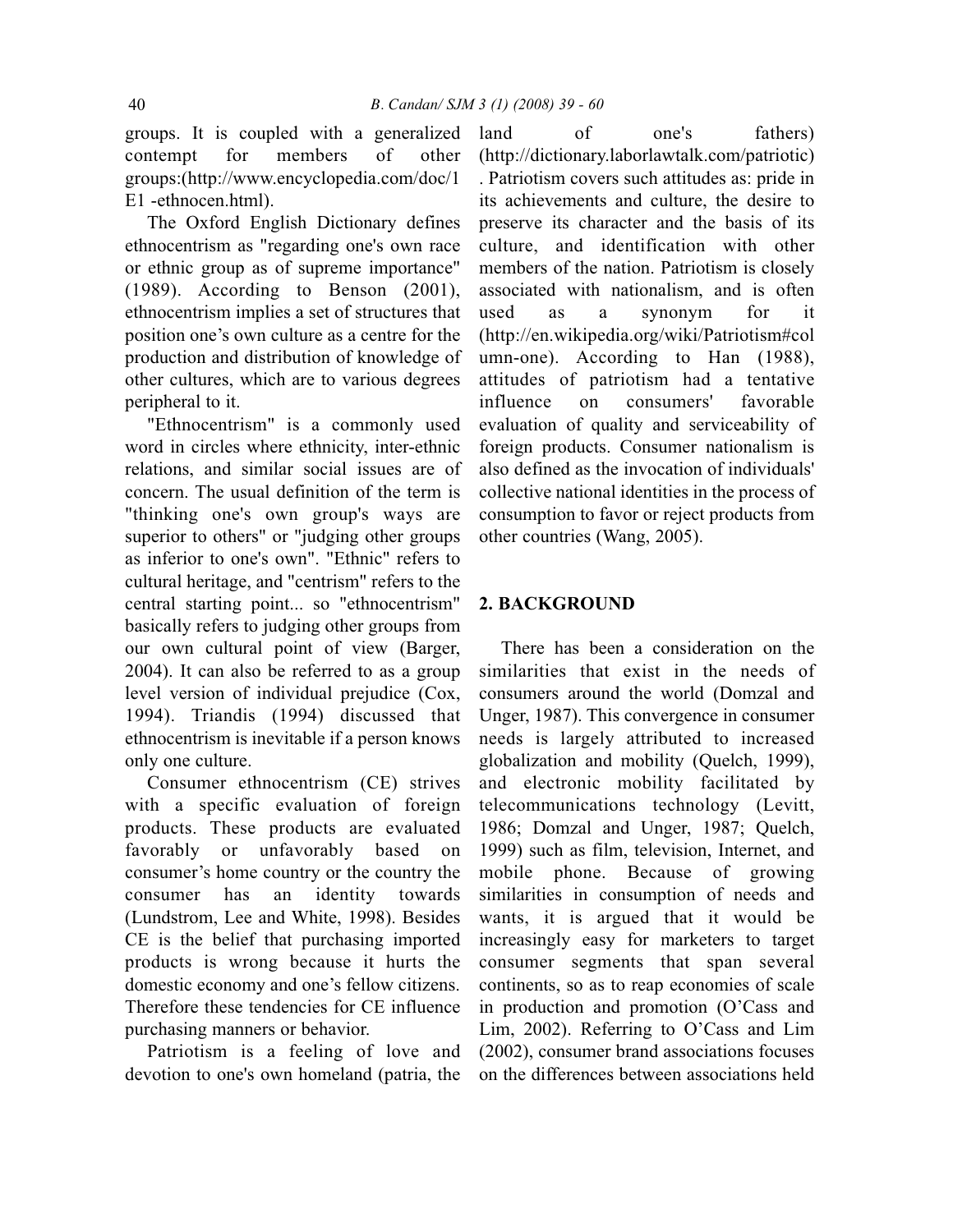groups. It is coupled with a generalized contempt for members of other groups:(http://www.encyclopedia.com/doc/1 E1 -ethnocen.html).

The Oxford English Dictionary defines ethnocentrism as "regarding one's own race or ethnic group as of supreme importance" (1989). According to Benson (2001), ethnocentrism implies a set of structures that position one's own culture as a centre for the production and distribution of knowledge of other cultures, which are to various degrees peripheral to it.

"Ethnocentrism" is a commonly used word in circles where ethnicity, inter-ethnic relations, and similar social issues are of concern. The usual definition of the term is "thinking one's own group's ways are superior to others" or "judging other groups as inferior to one's own". "Ethnic" refers to cultural heritage, and "centrism" refers to the central starting point... so "ethnocentrism" basically refers to judging other groups from our own cultural point of view (Barger, 2004). It can also be referred to as a group level version of individual prejudice (Cox, 1994). Triandis (1994) discussed that ethnocentrism is inevitable if a person knows only one culture.

Consumer ethnocentrism (CE) strives with a specific evaluation of foreign products. These products are evaluated favorably or unfavorably based on consumer's home country or the country the consumer has an identity towards (Lundstrom, Lee and White, 1998). Besides CE is the belief that purchasing imported products is wrong because it hurts the domestic economy and one's fellow citizens. Therefore these tendencies for CE influence purchasing manners or behavior.

Patriotism is a feeling of love and devotion to one's own homeland (patria, the land of one's fathers) (http://dictionary.laborlawtalk.com/patriotic) . Patriotism covers such attitudes as: pride in its achievements and culture, the desire to preserve its character and the basis of its culture, and identification with other members of the nation. Patriotism is closely associated with nationalism, and is often used as a synonym for it (http://en.wikipedia.org/wiki/Patriotism#col umn-one). According to Han (1988), attitudes of patriotism had a tentative influence on consumers' favorable evaluation of quality and serviceability of foreign products. Consumer nationalism is also defined as the invocation of individuals' collective national identities in the process of consumption to favor or reject products from other countries (Wang, 2005).

#### **2. BACKGROUND**

There has been a consideration on the similarities that exist in the needs of consumers around the world (Domzal and Unger, 1987). This convergence in consumer needs is largely attributed to increased globalization and mobility (Quelch, 1999), and electronic mobility facilitated by telecommunications technology (Levitt, 1986; Domzal and Unger, 1987; Quelch, 1999) such as film, television, Internet, and mobile phone. Because of growing similarities in consumption of needs and wants, it is argued that it would be increasingly easy for marketers to target consumer segments that span several continents, so as to reap economies of scale in production and promotion (O'Cass and Lim, 2002). Referring to O'Cass and Lim (2002), consumer brand associations focuses on the differences between associations held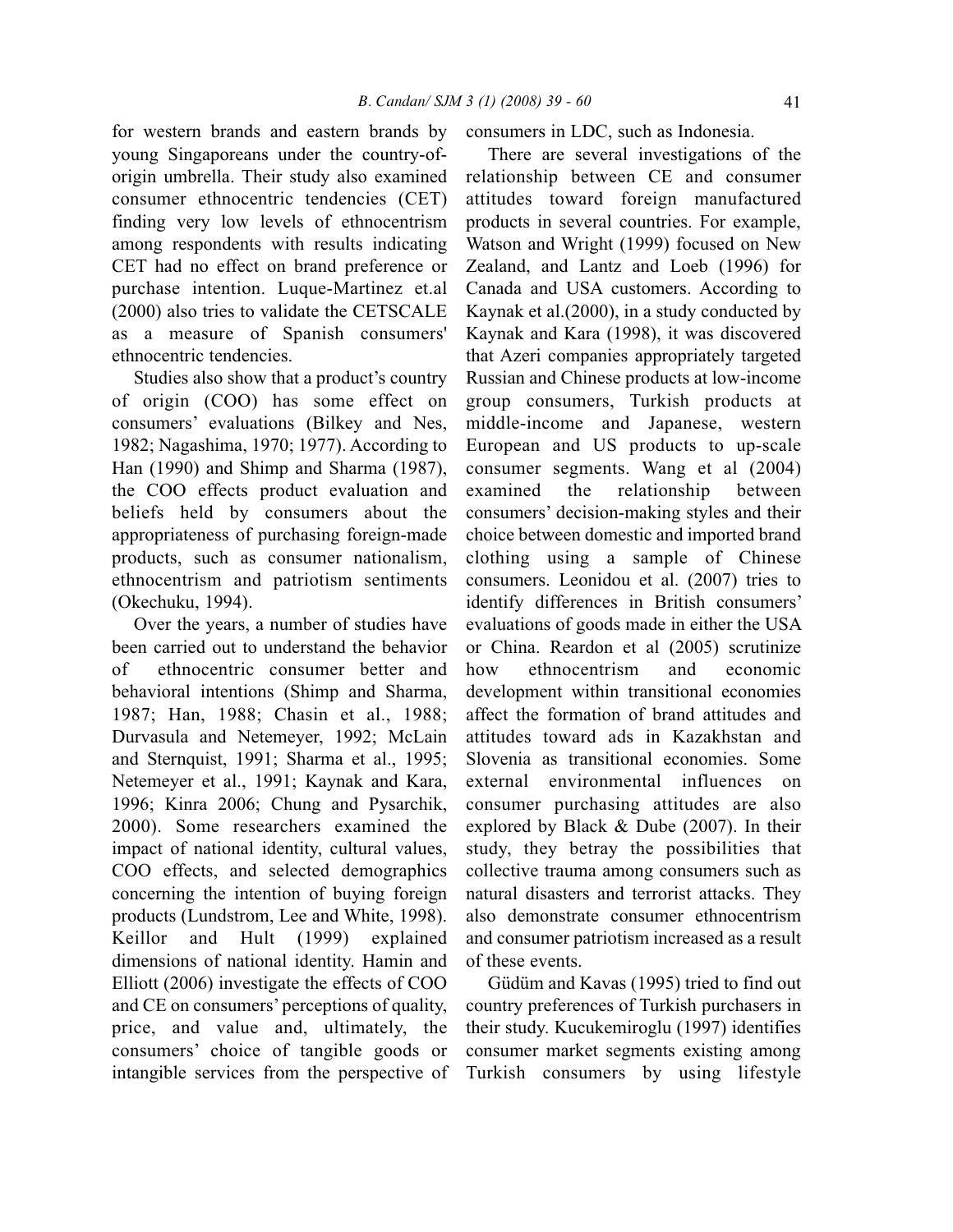for western brands and eastern brands by young Singaporeans under the country-oforigin umbrella. Their study also examined consumer ethnocentric tendencies (CET) finding very low levels of ethnocentrism among respondents with results indicating CET had no effect on brand preference or purchase intention. Luque-Martinez et.al (2000) also tries to validate the CETSCALE as a measure of Spanish consumers' ethnocentric tendencies.

Studies also show that a product's country of origin (COO) has some effect on consumers' evaluations (Bilkey and Nes, 1982; Nagashima, 1970; 1977). According to Han (1990) and Shimp and Sharma (1987), the COO effects product evaluation and beliefs held by consumers about the appropriateness of purchasing foreign-made products, such as consumer nationalism, ethnocentrism and patriotism sentiments (Okechuku, 1994).

Over the years, a number of studies have been carried out to understand the behavior of ethnocentric consumer better and behavioral intentions (Shimp and Sharma, 1987; Han, 1988; Chasin et al., 1988; Durvasula and Netemeyer, 1992; McLain and Sternquist, 1991; Sharma et al., 1995; Netemeyer et al., 1991; Kaynak and Kara, 1996; Kinra 2006; Chung and Pysarchik, 2000). Some researchers examined the impact of national identity, cultural values, COO effects, and selected demographics concerning the intention of buying foreign products (Lundstrom, Lee and White, 1998). Keillor and Hult (1999) explained dimensions of national identity. Hamin and Elliott (2006) investigate the effects of COO and CE on consumers' perceptions of quality, price, and value and, ultimately, the consumers' choice of tangible goods or intangible services from the perspective of consumers in LDC, such as Indonesia.

There are several investigations of the relationship between CE and consumer attitudes toward foreign manufactured products in several countries. For example, Watson and Wright (1999) focused on New Zealand, and Lantz and Loeb (1996) for Canada and USA customers. According to Kaynak et al.(2000), in a study conducted by Kaynak and Kara (1998), it was discovered that Azeri companies appropriately targeted Russian and Chinese products at low-income group consumers, Turkish products at middle-income and Japanese, western European and US products to up-scale consumer segments. Wang et al (2004) examined the relationship between consumers' decision-making styles and their choice between domestic and imported brand clothing using a sample of Chinese consumers. Leonidou et al. (2007) tries to identify differences in British consumers' evaluations of goods made in either the USA or China. Reardon et al (2005) scrutinize how ethnocentrism and economic development within transitional economies affect the formation of brand attitudes and attitudes toward ads in Kazakhstan and Slovenia as transitional economies. Some external environmental influences on consumer purchasing attitudes are also explored by Black & Dube (2007). In their study, they betray the possibilities that collective trauma among consumers such as natural disasters and terrorist attacks. They also demonstrate consumer ethnocentrism and consumer patriotism increased as a result of these events.

Güdüm and Kavas (1995) tried to find out country preferences of Turkish purchasers in their study. Kucukemiroglu (1997) identifies consumer market segments existing among Turkish consumers by using lifestyle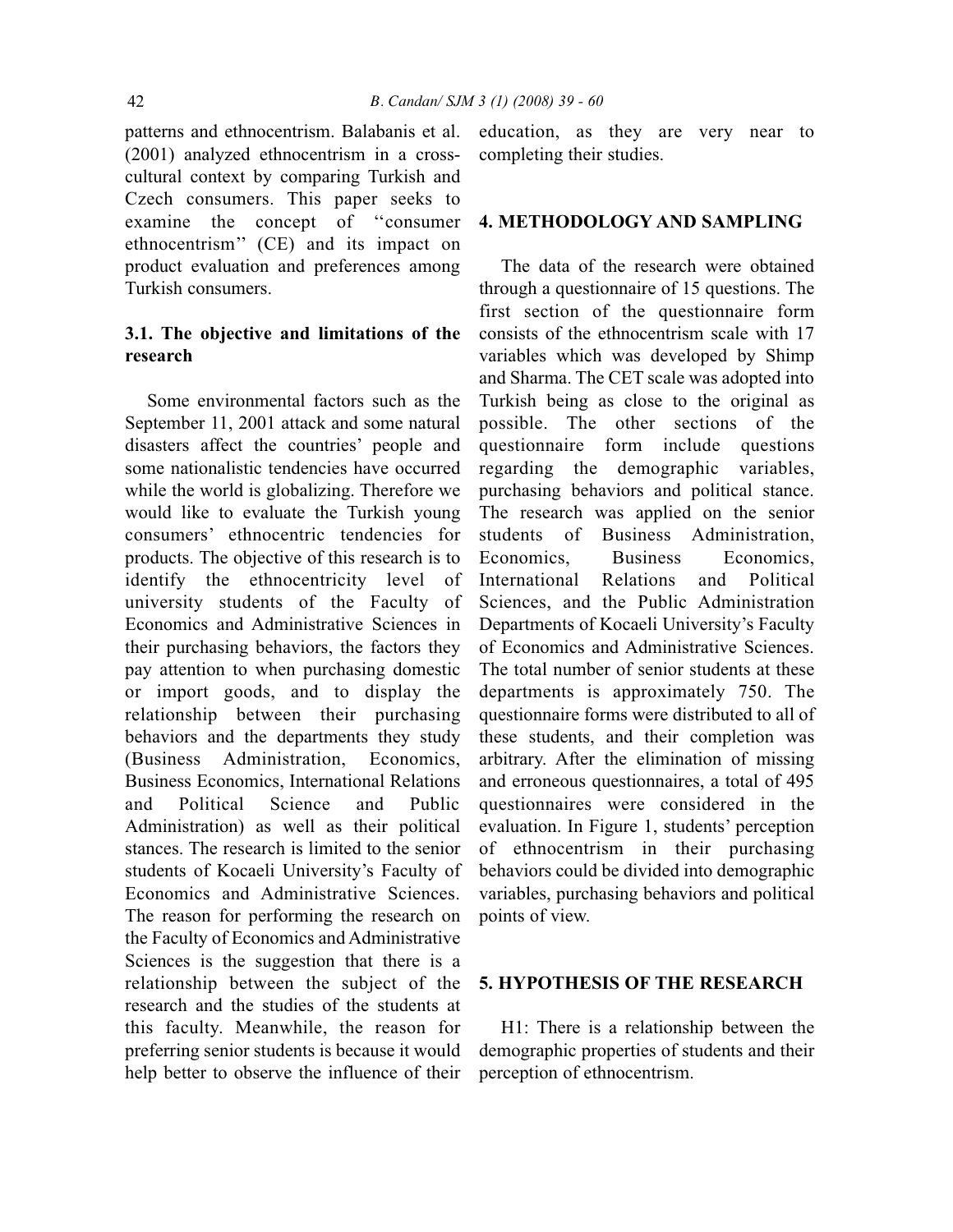patterns and ethnocentrism. Balabanis et al. (2001) analyzed ethnocentrism in a crosscultural context by comparing Turkish and Czech consumers. This paper seeks to examine the concept of ''consumer ethnocentrism'' (CE) and its impact on product evaluation and preferences among Turkish consumers.

## **3.1. The objective and limitations of the research**

Some environmental factors such as the September 11, 2001 attack and some natural disasters affect the countries' people and some nationalistic tendencies have occurred while the world is globalizing. Therefore we would like to evaluate the Turkish young consumers' ethnocentric tendencies for products. The objective of this research is to identify the ethnocentricity level of university students of the Faculty of Economics and Administrative Sciences in their purchasing behaviors, the factors they pay attention to when purchasing domestic or import goods, and to display the relationship between their purchasing behaviors and the departments they study (Business Administration, Economics, Business Economics, International Relations and Political Science and Public Administration) as well as their political stances. The research is limited to the senior students of Kocaeli University's Faculty of Economics and Administrative Sciences. The reason for performing the research on the Faculty of Economics and Administrative Sciences is the suggestion that there is a relationship between the subject of the research and the studies of the students at this faculty. Meanwhile, the reason for preferring senior students is because it would help better to observe the influence of their

education, as they are very near to completing their studies.

#### **4. METHODOLOGY AND SAMPLING**

The data of the research were obtained through a questionnaire of 15 questions. The first section of the questionnaire form consists of the ethnocentrism scale with 17 variables which was developed by Shimp and Sharma. The CET scale was adopted into Turkish being as close to the original as possible. The other sections of the questionnaire form include questions regarding the demographic variables, purchasing behaviors and political stance. The research was applied on the senior students of Business Administration, Economics, Business Economics, International Relations and Political Sciences, and the Public Administration Departments of Kocaeli University's Faculty of Economics and Administrative Sciences. The total number of senior students at these departments is approximately 750. The questionnaire forms were distributed to all of these students, and their completion was arbitrary. After the elimination of missing and erroneous questionnaires, a total of 495 questionnaires were considered in the evaluation. In Figure 1, students' perception of ethnocentrism in their purchasing behaviors could be divided into demographic variables, purchasing behaviors and political points of view.

#### **5. HYPOTHESIS OF THE RESEARCH**

H1: There is a relationship between the demographic properties of students and their perception of ethnocentrism.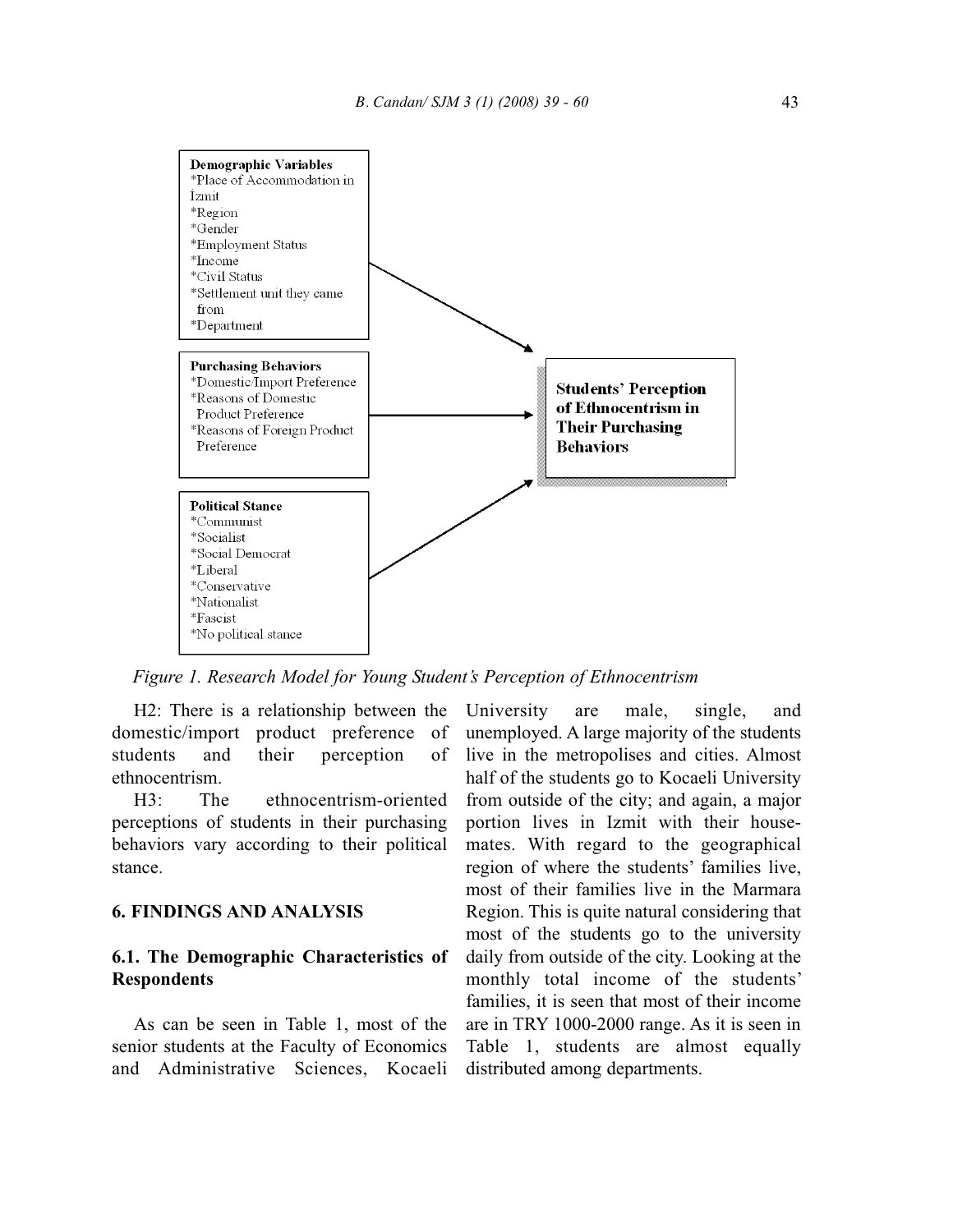

*Figure 1. Research Model for Young Student's Perception of Ethnocentrism*

H2: There is a relationship between the domestic/import product preference of students and their perception of ethnocentrism.

H3: The ethnocentrism-oriented perceptions of students in their purchasing behaviors vary according to their political stance.

#### **6. FINDINGS AND ANALYSIS**

#### **6.1. The Demographic Characteristics of Respondents**

As can be seen in Table 1, most of the senior students at the Faculty of Economics and Administrative Sciences, Kocaeli

University are male, single, and unemployed. A large majority of the students live in the metropolises and cities. Almost half of the students go to Kocaeli University from outside of the city; and again, a major portion lives in Izmit with their housemates. With regard to the geographical region of where the students' families live, most of their families live in the Marmara Region. This is quite natural considering that most of the students go to the university daily from outside of the city. Looking at the monthly total income of the students' families, it is seen that most of their income are in TRY 1000-2000 range. As it is seen in Table 1, students are almost equally distributed among departments.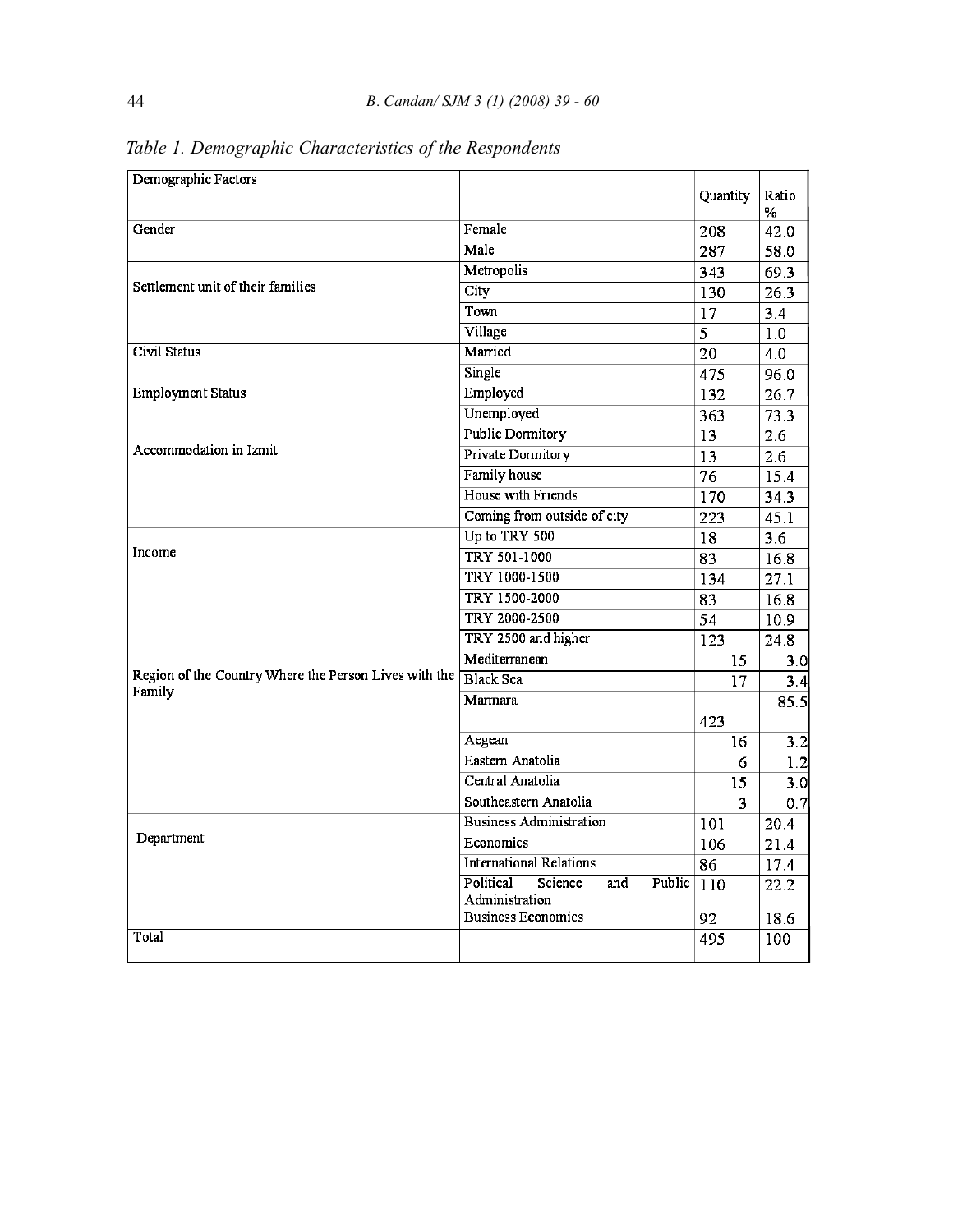| Demographic Factors                                   |                                                         | Quantity | Ratio<br>℅ |
|-------------------------------------------------------|---------------------------------------------------------|----------|------------|
| Gender                                                | Female                                                  | 208      | 42.0       |
|                                                       | Male                                                    | 287      | 58.0       |
|                                                       | Metropolis                                              | 343      | 69.3       |
| Settlement unit of their families                     | City                                                    | 130      | 26.3       |
|                                                       | Town                                                    | 17       | 3.4        |
|                                                       | Village                                                 | 5        | 1.0        |
| Civil Status                                          | Married                                                 | 20       | 4.0        |
|                                                       | Single                                                  | 475      | 96.0       |
| <b>Employment Status</b>                              | Employed                                                | 132      | 26.7       |
|                                                       | Unemployed                                              | 363      | 73.3       |
|                                                       | <b>Public Dormitory</b>                                 | 13       | 2.6        |
| Accommodation in Izmit                                | Private Dormitory                                       | 13       | 2.6        |
|                                                       | Family house                                            | 76       | 15.4       |
|                                                       | House with Friends                                      | 170      | 34.3       |
|                                                       | Coming from outside of city                             | 223      | 45.1       |
|                                                       | Up to TRY 500                                           | 18       | 3.6        |
| Income                                                | TRY 501-1000                                            | 83       | 16.8       |
|                                                       | TRY 1000-1500                                           | 134      | 27.1       |
|                                                       | TRY 1500-2000                                           | 83       | 16.8       |
|                                                       | TRY 2000-2500                                           | 54       | 10.9       |
|                                                       | TRY 2500 and higher                                     | 123      | 24.8       |
|                                                       | Mediterranean                                           | 15       | 3.OI       |
| Region of the Country Where the Person Lives with the | <b>Black Sea</b>                                        | 17       | 3.4        |
| Family                                                | <b>Marmara</b>                                          |          | 85.5       |
|                                                       |                                                         | 423      |            |
|                                                       | Aegean                                                  | 16       | 3.2        |
|                                                       | Eastern Anatolia                                        | 6        | 1.2        |
|                                                       | Central Anatolia                                        | 15       | 3.0        |
|                                                       | Southeastern Anatolia                                   | 3        | 0.7        |
|                                                       | <b>Business Administration</b>                          | 101      | 20.4       |
| Department                                            | Economics                                               | 106      | 21.4       |
|                                                       | <b>International Relations</b>                          | 86       | 17.4       |
|                                                       | Political<br>Science<br>Public<br>and<br>Administration | 110      | 22.2       |
|                                                       | <b>Business Economics</b>                               | 92       | 18.6       |
| Total                                                 |                                                         | 495      | 100        |

*Table 1. Demographic Characteristics of the Respondents*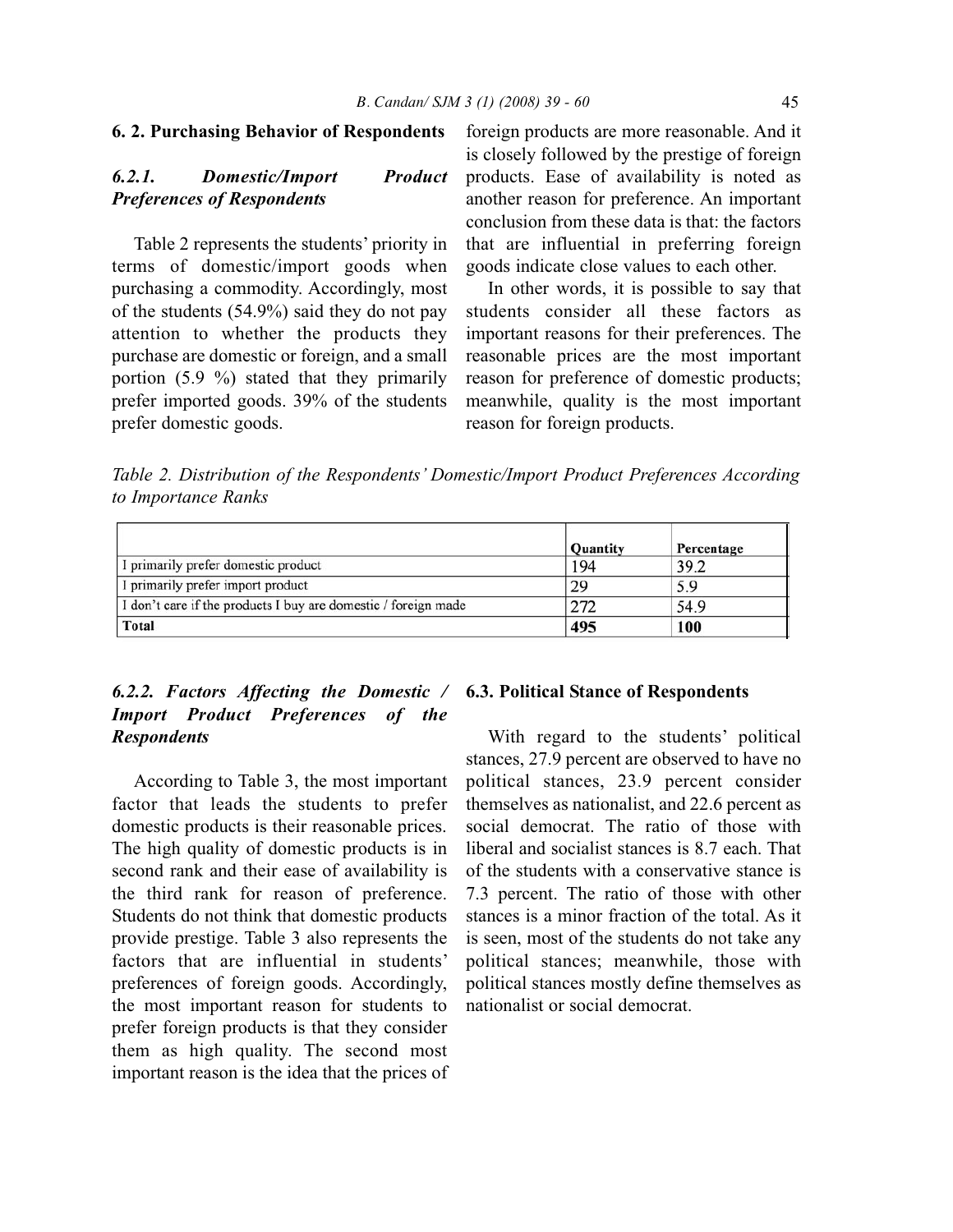#### **6. 2. Purchasing Behavior of Respondents**

## *6.2.1. Domestic/Import Product Preferences of Respondents*

Table 2 represents the students' priority in terms of domestic/import goods when purchasing a commodity. Accordingly, most of the students (54.9%) said they do not pay attention to whether the products they purchase are domestic or foreign, and a small portion  $(5.9 \%)$  stated that they primarily prefer imported goods. 39% of the students prefer domestic goods.

foreign products are more reasonable. And it is closely followed by the prestige of foreign products. Ease of availability is noted as another reason for preference. An important conclusion from these data is that: the factors that are influential in preferring foreign goods indicate close values to each other.

In other words, it is possible to say that students consider all these factors as important reasons for their preferences. The reasonable prices are the most important reason for preference of domestic products; meanwhile, quality is the most important reason for foreign products.

*Table 2. Distribution of the Respondents' Domestic/Import Product Preferences According to Importance Ranks*

|                                                                | <b>Quantity</b> | Percentage |
|----------------------------------------------------------------|-----------------|------------|
| I primarily prefer domestic product                            | 194             | 39.2       |
| I primarily prefer import product                              | 29              | 5.9        |
| I don't care if the products I buy are domestic / foreign made | 272             | 54.9       |
| <b>Total</b>                                                   | 495             | 100        |

## *6.2.2. Factors Affecting the Domestic /* **6.3. Political Stance of Respondents** *Import Product Preferences of the Respondents*

According to Table 3, the most important factor that leads the students to prefer domestic products is their reasonable prices. The high quality of domestic products is in second rank and their ease of availability is the third rank for reason of preference. Students do not think that domestic products provide prestige. Table 3 also represents the factors that are influential in students' preferences of foreign goods. Accordingly, the most important reason for students to prefer foreign products is that they consider them as high quality. The second most important reason is the idea that the prices of

With regard to the students' political stances, 27.9 percent are observed to have no political stances, 23.9 percent consider themselves as nationalist, and 22.6 percent as social democrat. The ratio of those with liberal and socialist stances is 8.7 each. That of the students with a conservative stance is 7.3 percent. The ratio of those with other stances is a minor fraction of the total. As it is seen, most of the students do not take any political stances; meanwhile, those with political stances mostly define themselves as nationalist or social democrat.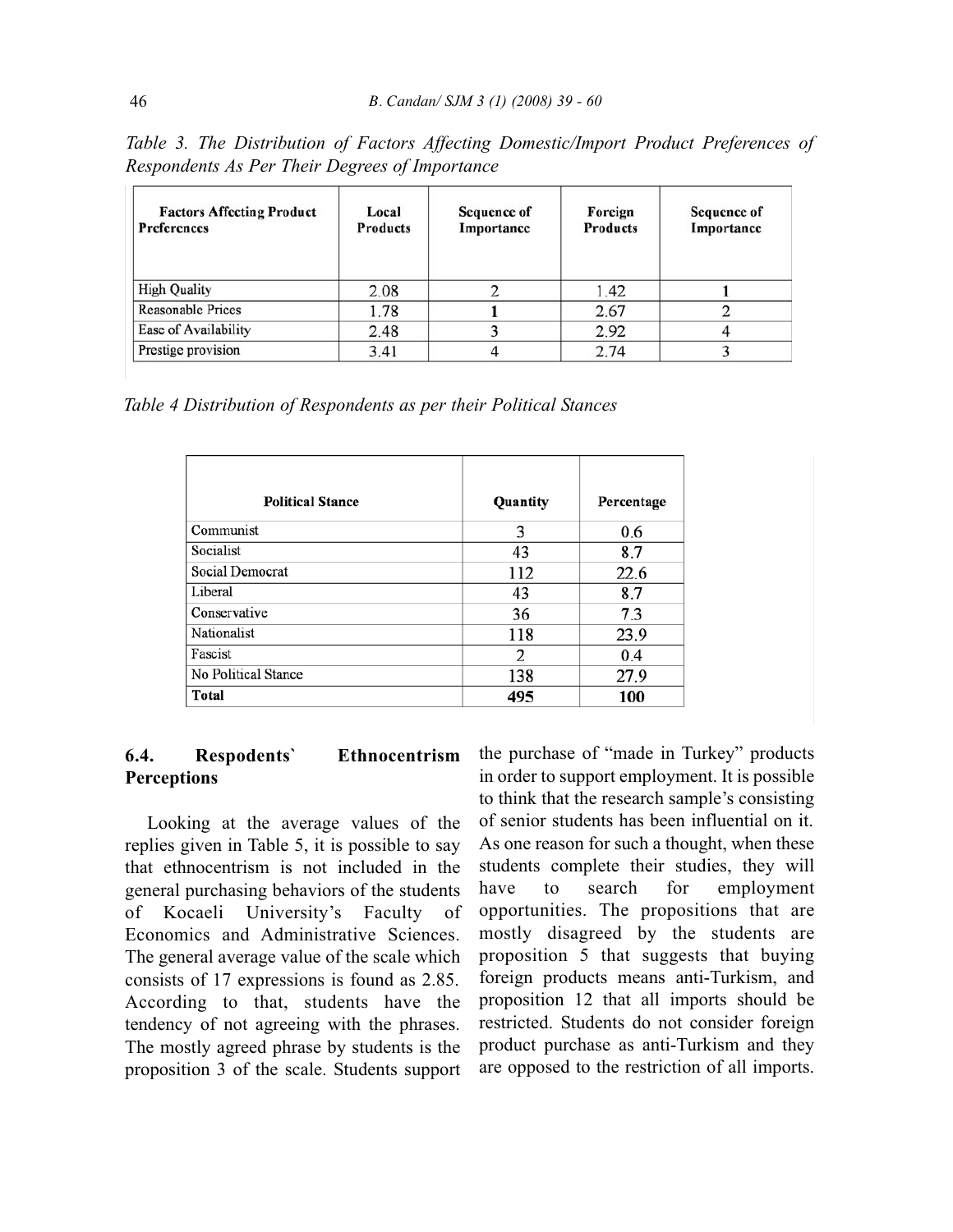| <b>Factors Affecting Product</b><br><b>Preferences</b> | Local<br><b>Products</b> | <b>Sequence of</b><br>Importance | Foreign<br><b>Products</b> | Sequence of<br>Importance |
|--------------------------------------------------------|--------------------------|----------------------------------|----------------------------|---------------------------|
| <b>High Quality</b>                                    | 2.08                     |                                  | 1.42                       |                           |
| <b>Reasonable Prices</b>                               | 1.78                     |                                  | 2.67                       |                           |
| Ease of Availability                                   | 2.48                     |                                  | 2.92                       |                           |
| Prestige provision                                     | 3.41                     |                                  | 2.74                       |                           |

*Table 3. The Distribution of Factors Affecting Domestic/Import Product Preferences of Respondents As Per Their Degrees of Importance*

*Table 4 Distribution of Respondents as per their Political Stances*

| <b>Political Stance</b> | Quantity | Percentage |
|-------------------------|----------|------------|
| Communist               | 3        | 0.6        |
| Socialist               | 43       | 8.7        |
| Social Democrat         | 112      | 22.6       |
| Liberal                 | 43       | 8.7        |
| Conservative            | 36       | 7.3        |
| Nationalist             | 118      | 23.9       |
| Fascist                 | 2        | 0.4        |
| No Political Stance     | 138      | 27.9       |
| Total                   | 495      | 100        |

## **6.4. Respodents` Ethnocentrism Perceptions**

Looking at the average values of the replies given in Table 5, it is possible to say that ethnocentrism is not included in the general purchasing behaviors of the students of Kocaeli University's Faculty of Economics and Administrative Sciences. The general average value of the scale which consists of 17 expressions is found as 2.85. According to that, students have the tendency of not agreeing with the phrases. The mostly agreed phrase by students is the proposition 3 of the scale. Students support

the purchase of "made in Turkey" products in order to support employment. It is possible to think that the research sample's consisting of senior students has been influential on it. As one reason for such a thought, when these students complete their studies, they will have to search for employment opportunities. The propositions that are mostly disagreed by the students are proposition 5 that suggests that buying foreign products means anti-Turkism, and proposition 12 that all imports should be restricted. Students do not consider foreign product purchase as anti-Turkism and they are opposed to the restriction of all imports.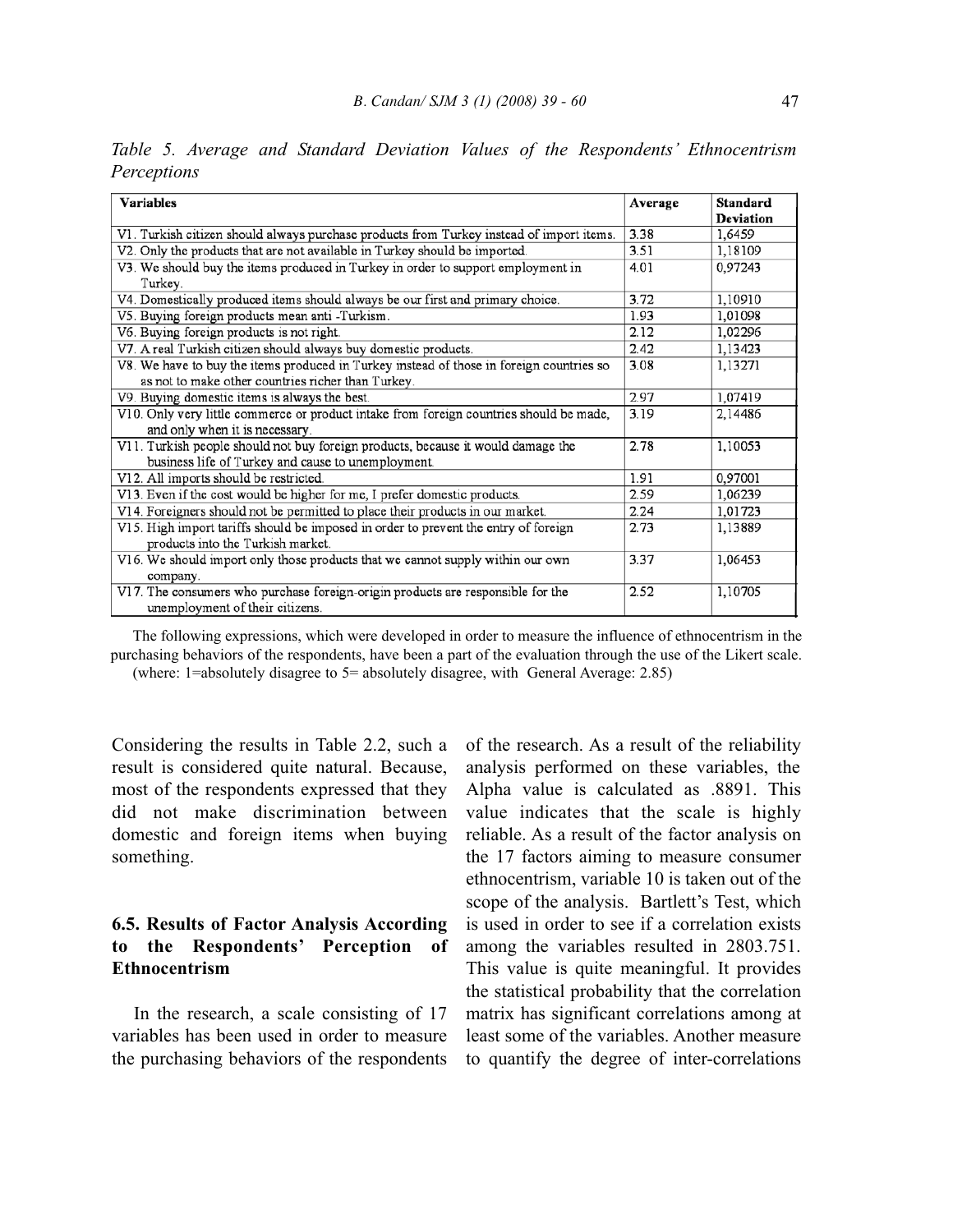| <b>Variables</b>                                                                         | Average | <b>Standard</b><br><b>Deviation</b> |
|------------------------------------------------------------------------------------------|---------|-------------------------------------|
| V1. Turkish citizen should always purchase products from Turkey instead of import items. | 3.38    | 1,6459                              |
| V2. Only the products that are not available in Turkey should be imported.               | 3.51    | 1,18109                             |
| V3. We should buy the items produced in Turkey in order to support employment in         | 4.01    | 0,97243                             |
| Turkey.                                                                                  |         |                                     |
| V4. Domestically produced items should always be our first and primary choice.           | 3.72    | 1,10910                             |
| V5. Buying foreign products mean anti-Turkism.                                           | 1.93    | 1,01098                             |
| V6. Buying foreign products is not right.                                                | 2.12    | 1,02296                             |
| V7. A real Turkish citizen should always buy domestic products.                          | 2.42    | 1,13423                             |
| V8. We have to buy the items produced in Turkey instead of those in foreign countries so | 3.08    | 1,13271                             |
| as not to make other countries richer than Turkey.                                       |         |                                     |
| V9. Buying domestic items is always the best.                                            | 2.97    | 1,07419                             |
| V10. Only very little commerce or product intake from foreign countries should be made,  | 3.19    | 2,14486                             |
| and only when it is necessary.                                                           |         |                                     |
| V11. Turkish people should not buy foreign products, because it would damage the         | 2.78    | 1,10053                             |
| business life of Turkey and cause to unemployment.                                       |         |                                     |
| V12. All imports should be restricted.                                                   | 1.91    | 0,97001                             |
| V13. Even if the cost would be higher for me, I prefer domestic products.                | 2.59    | 1,06239                             |
| V14. Foreigners should not be permitted to place their products in our market.           | 2.24    | 1,01723                             |
| V15. High import tariffs should be imposed in order to prevent the entry of foreign      | 2.73    | 1,13889                             |
| products into the Turkish market.                                                        |         |                                     |
| V16. We should import only those products that we cannot supply within our own           | 3.37    | 1,06453                             |
| company.                                                                                 |         |                                     |
| V17. The consumers who purchase foreign-origin products are responsible for the          | 2.52    | 1,10705                             |
| unemployment of their citizens.                                                          |         |                                     |

*Table 5. Average and Standard Deviation Values of the Respondents' Ethnocentrism Perceptions*

The following expressions, which were developed in order to measure the influence of ethnocentrism in the purchasing behaviors of the respondents, have been a part of the evaluation through the use of the Likert scale. (where: 1=absolutely disagree to 5= absolutely disagree, with General Average: 2.85)

Considering the results in Table 2.2, such a result is considered quite natural. Because, most of the respondents expressed that they did not make discrimination between domestic and foreign items when buying something.

## **6.5. Results of Factor Analysis According to the Respondents' Perception of Ethnocentrism**

In the research, a scale consisting of 17 variables has been used in order to measure the purchasing behaviors of the respondents of the research. As a result of the reliability analysis performed on these variables, the Alpha value is calculated as .8891. This value indicates that the scale is highly reliable. As a result of the factor analysis on the 17 factors aiming to measure consumer ethnocentrism, variable 10 is taken out of the scope of the analysis. Bartlett's Test, which is used in order to see if a correlation exists among the variables resulted in 2803.751. This value is quite meaningful. It provides the statistical probability that the correlation matrix has significant correlations among at least some of the variables. Another measure to quantify the degree of inter-correlations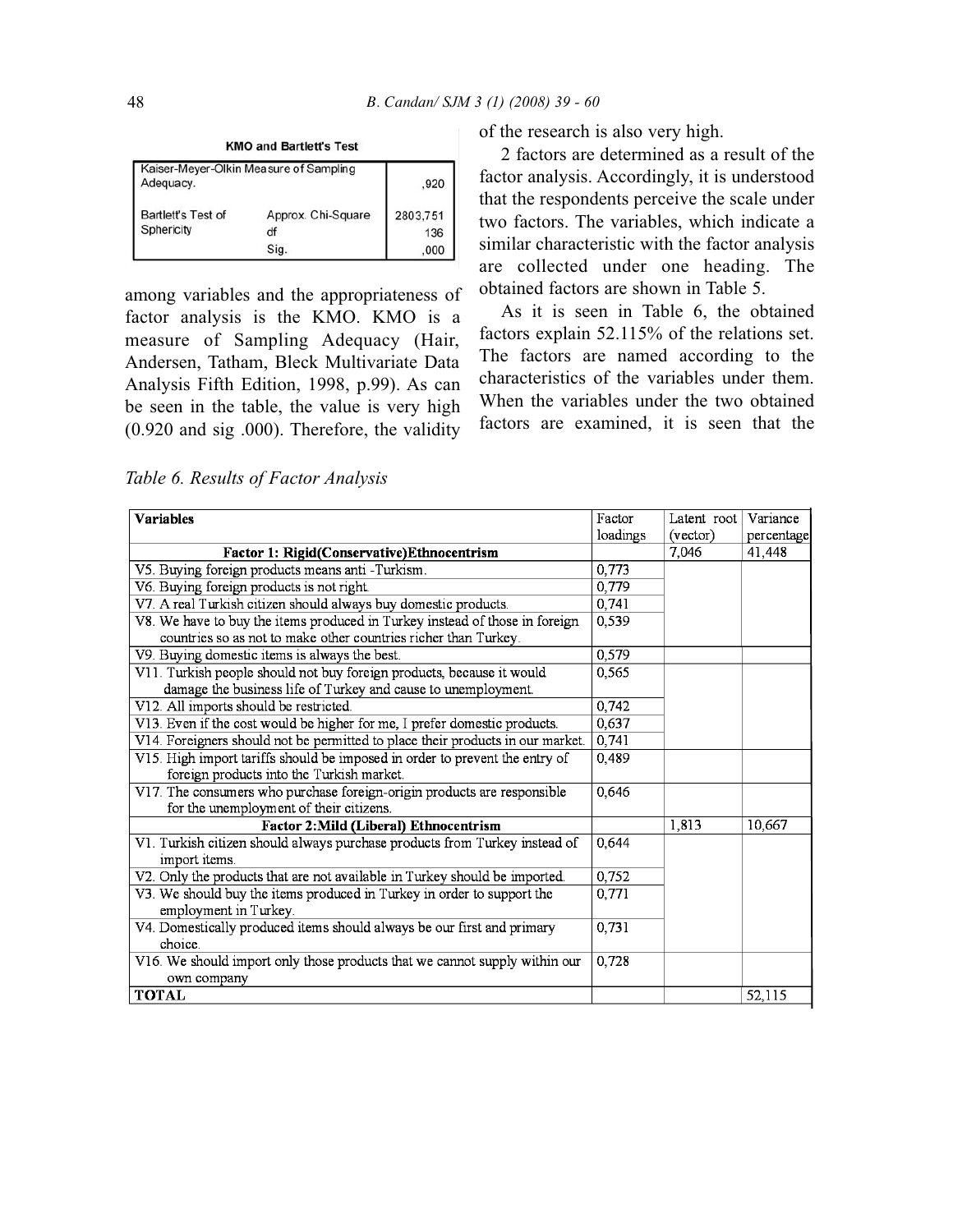**KMO and Bartlett's Test** 

| Adequacy.          | Kaiser-Meyer-Olkin Measure of Sampling | .920     |
|--------------------|----------------------------------------|----------|
| Bartlett's Test of | Approx. Chi-Square                     | 2803.751 |
| Sphericity         | df                                     | 136      |
|                    | Sig.                                   | .000     |

among variables and the appropriateness of factor analysis is the KMO. KMO is a measure of Sampling Adequacy (Hair, Andersen, Tatham, Bleck Multivariate Data Analysis Fifth Edition, 1998, p.99). As can be seen in the table, the value is very high (0.920 and sig .000). Therefore, the validity

of the research is also very high.

2 factors are determined as a result of the factor analysis. Accordingly, it is understood that the respondents perceive the scale under two factors. The variables, which indicate a similar characteristic with the factor analysis are collected under one heading. The obtained factors are shown in Table 5.

As it is seen in Table 6, the obtained factors explain 52.115% of the relations set. The factors are named according to the characteristics of the variables under them. When the variables under the two obtained factors are examined, it is seen that the

*Table 6. Results of Factor Analysis*

| <b>Variables</b>                                                               | Factor   | Latent root | Variance   |
|--------------------------------------------------------------------------------|----------|-------------|------------|
|                                                                                | loadings | (vector)    | percentage |
| Factor 1: Rigid(Conservative)Ethnocentrism                                     |          | 7,046       | 41,448     |
| V5. Buying foreign products means anti -Turkism.                               | 0,773    |             |            |
| V6 Buying foreign products is not right.                                       | 0,779    |             |            |
| V7. A real Turkish citizen should always buy domestic products.                | 0,741    |             |            |
| V8. We have to buy the items produced in Turkey instead of those in foreign    | 0.539    |             |            |
| countries so as not to make other countries richer than Turkey.                |          |             |            |
| V9. Buying domestic items is always the best.                                  | 0,579    |             |            |
| V11. Turkish people should not buy foreign products, because it would          | 0,565    |             |            |
| damage the business life of Turkey and cause to unemployment.                  |          |             |            |
| V12. All imports should be restricted.                                         | 0,742    |             |            |
| V13. Even if the cost would be higher for me, I prefer domestic products.      | 0,637    |             |            |
| V14. Foreigners should not be permitted to place their products in our market. | 0,741    |             |            |
| V15. High import tariffs should be imposed in order to prevent the entry of    | 0,489    |             |            |
| foreign products into the Turkish market.                                      |          |             |            |
| V17. The consumers who purchase foreign-origin products are responsible        | 0,646    |             |            |
| for the unemployment of their citizens.                                        |          |             |            |
| Factor 2: Mild (Liberal) Ethnocentrism                                         |          | 1,813       | 10.667     |
| V1. Turkish citizen should always purchase products from Turkey instead of     | 0,644    |             |            |
| import items.                                                                  |          |             |            |
| V2. Only the products that are not available in Turkey should be imported.     | 0,752    |             |            |
| V3. We should buy the items produced in Turkey in order to support the         | 0,771    |             |            |
| employment in Turkey.                                                          |          |             |            |
| V4. Domestically produced items should always be our first and primary         | 0,731    |             |            |
| choice.                                                                        |          |             |            |
| V16. We should import only those products that we cannot supply within our     | 0,728    |             |            |
| own company                                                                    |          |             |            |
| <b>TOTAL</b>                                                                   |          |             | 52,115     |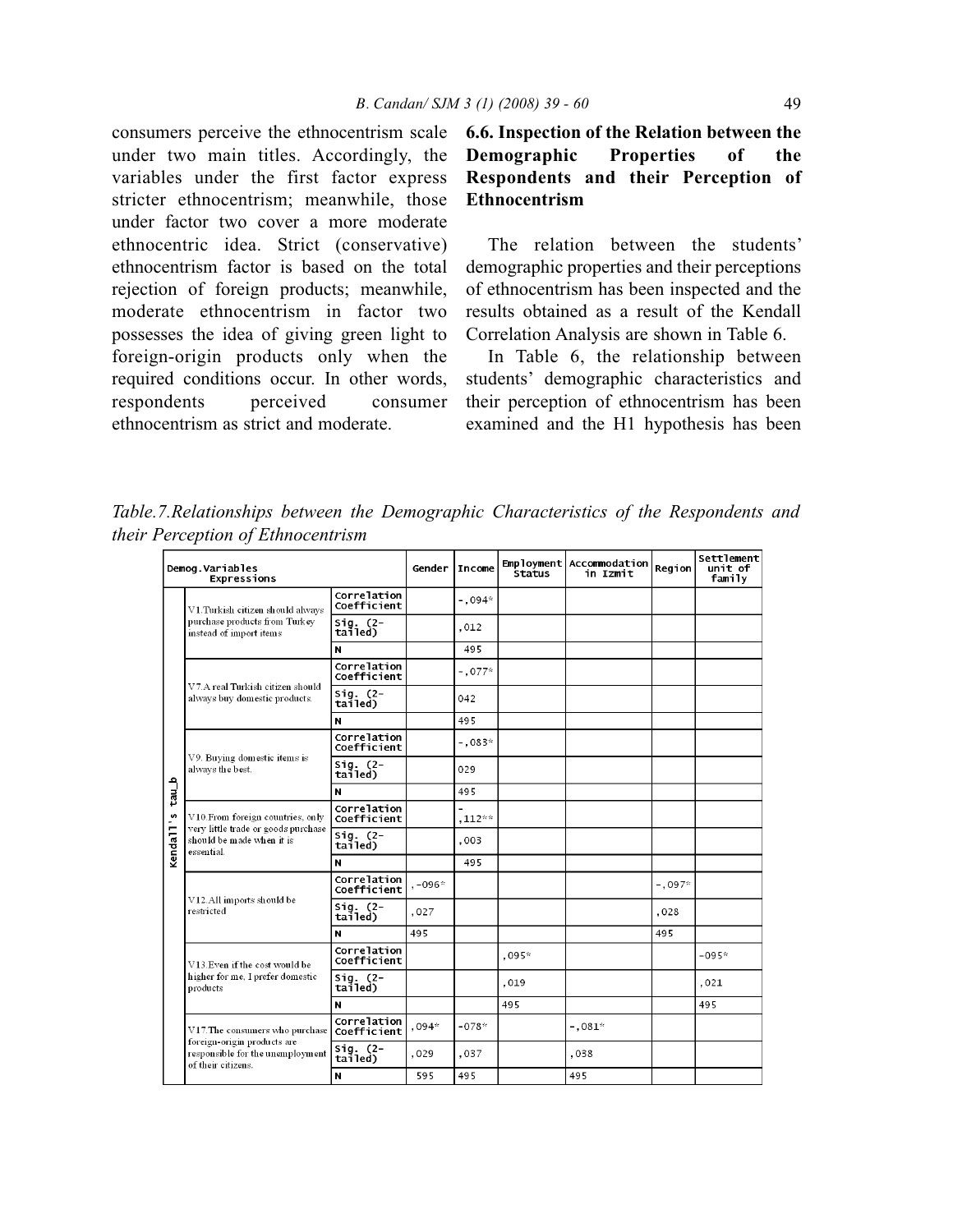consumers perceive the ethnocentrism scale under two main titles. Accordingly, the variables under the first factor express stricter ethnocentrism; meanwhile, those under factor two cover a more moderate ethnocentric idea. Strict (conservative) ethnocentrism factor is based on the total rejection of foreign products; meanwhile, moderate ethnocentrism in factor two possesses the idea of giving green light to foreign-origin products only when the required conditions occur. In other words, respondents perceived consumer ethnocentrism as strict and moderate.

## **6.6. Inspection of the Relation between the Demographic Properties of the Respondents and their Perception of Ethnocentrism**

The relation between the students' demographic properties and their perceptions of ethnocentrism has been inspected and the results obtained as a result of the Kendall Correlation Analysis are shown in Table 6.

In Table 6, the relationship between students' demographic characteristics and their perception of ethnocentrism has been examined and the H1 hypothesis has been

*Table.7.Relationships between the Demographic Characteristics of the Respondents and their Perception of Ethnocentrism*

| Demog.Variables<br>Expressions |                                                                                       |                            | Gender    | <b>Income</b> | <b>Status</b> | Employment Accommodation<br>in Izmit | Region   | Settlement<br>unit of<br>family |
|--------------------------------|---------------------------------------------------------------------------------------|----------------------------|-----------|---------------|---------------|--------------------------------------|----------|---------------------------------|
|                                | V1. Turkish citizen should always                                                     | Correlation<br>Coefficient |           | $-.094*$      |               |                                      |          |                                 |
|                                | purchase products from Turkey<br>instead of import items                              | $Siq.$ (2-<br>tailed)      |           | ,012          |               |                                      |          | $-095*$<br>.021<br>495          |
|                                |                                                                                       | N                          |           | 495           |               |                                      |          |                                 |
|                                |                                                                                       | Correlation<br>Coefficient |           | $-0.77*$      |               |                                      |          |                                 |
|                                | V7.A real Turkish citizen should<br>always buy domestic products.                     | Sig. (2-<br>tailed)        |           | 042           |               |                                      |          |                                 |
|                                |                                                                                       | N                          |           | 495           |               |                                      |          |                                 |
|                                |                                                                                       | Correlation<br>Coefficient |           | $-.083*$      |               |                                      |          |                                 |
|                                | V9. Buying domestic items is<br>always the best.                                      | $Sig.$ (2-<br>tailed)      |           | 029           |               |                                      |          |                                 |
| tau_b                          |                                                                                       | N                          |           | 495           |               |                                      |          |                                 |
|                                | V10. From foreign countries, only                                                     | Correlation<br>Coefficient |           | $,112***$     |               |                                      |          |                                 |
| Kenda <sub>11's</sub>          | very little trade or goods purchase<br>should be made when it is<br>essential.        | $Siq.$ (2-<br>tailed)      |           | ,003          |               |                                      |          |                                 |
|                                |                                                                                       | N                          |           | 495           |               |                                      |          |                                 |
|                                |                                                                                       | Correlation<br>Coefficient | $, -096*$ |               |               |                                      | $-.097*$ |                                 |
|                                | V12.All imports should be<br>restricted                                               | $Sig.$ $(2-$<br>tailed)    | ,027      |               |               |                                      | ,028     |                                 |
|                                |                                                                                       | N                          | 495       |               |               |                                      | 495      |                                 |
|                                | V13. Even if the cost would be                                                        | Correlation<br>Coefficient |           |               | $.095*$       |                                      |          |                                 |
|                                | higher for me, I prefer domestic<br>products                                          | $Siq.$ (2-<br>tailed)      |           |               | ,019          |                                      |          |                                 |
|                                |                                                                                       | N                          |           |               | 495           |                                      |          |                                 |
|                                | V17. The consumers who purchase                                                       | Correlation<br>Coefficient | $,094*$   | -078*         |               | $-.081*$                             |          |                                 |
|                                | foreign-origin products are<br>responsible for the unemployment<br>of their citizens. | $sig. (2-$<br>tailed)      | ,029      | ,037          |               | ,038                                 |          |                                 |
|                                |                                                                                       | N                          | 595       | 495           |               | 495                                  |          |                                 |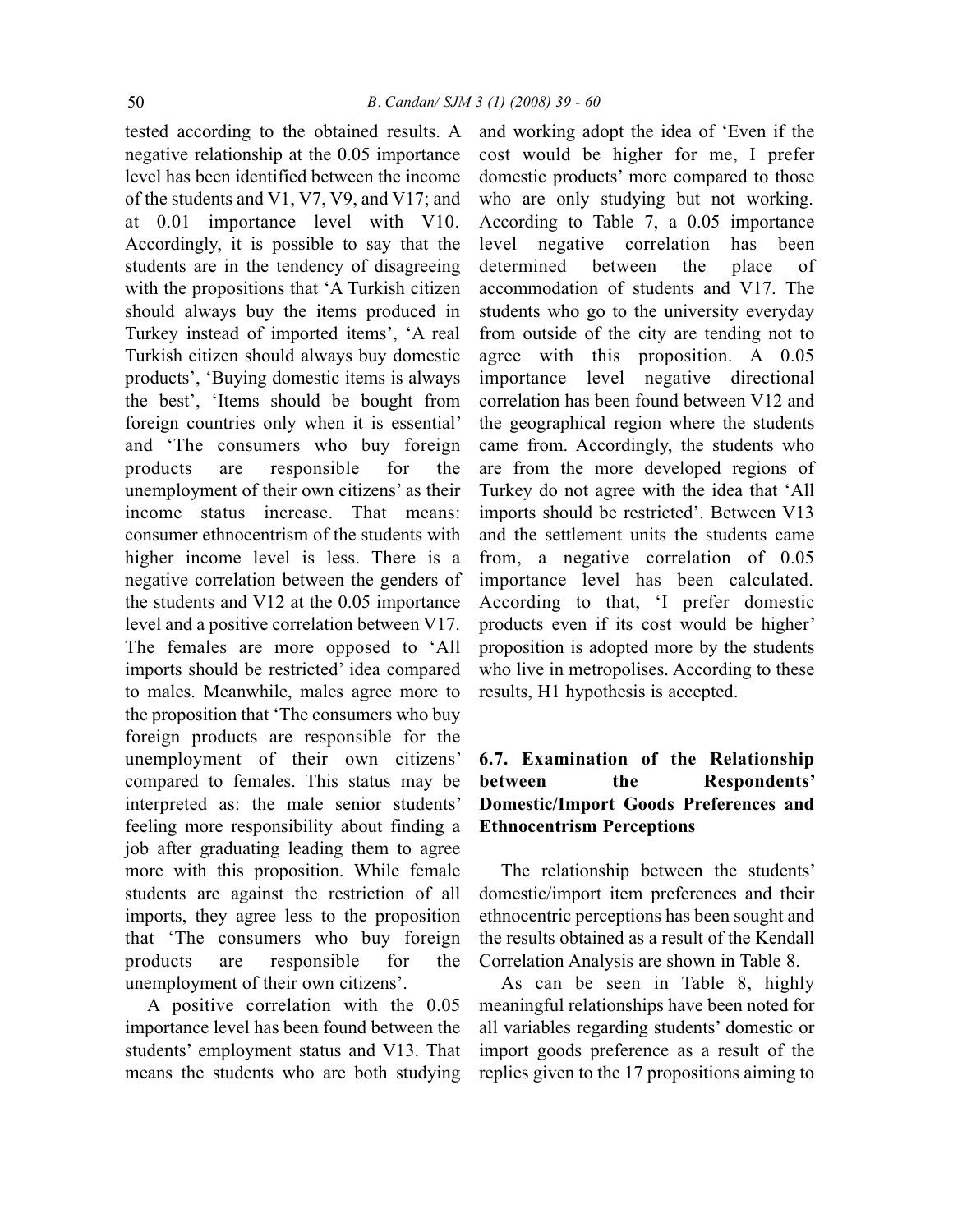tested according to the obtained results. A negative relationship at the 0.05 importance level has been identified between the income of the students and V1, V7, V9, and V17; and at 0.01 importance level with V10. Accordingly, it is possible to say that the students are in the tendency of disagreeing with the propositions that 'A Turkish citizen should always buy the items produced in Turkey instead of imported items', 'A real Turkish citizen should always buy domestic products', 'Buying domestic items is always the best', 'Items should be bought from foreign countries only when it is essential' and 'The consumers who buy foreign products are responsible for the unemployment of their own citizens' as their income status increase. That means: consumer ethnocentrism of the students with higher income level is less. There is a negative correlation between the genders of the students and V12 at the 0.05 importance level and a positive correlation between V17. The females are more opposed to 'All imports should be restricted' idea compared to males. Meanwhile, males agree more to the proposition that 'The consumers who buy foreign products are responsible for the unemployment of their own citizens' compared to females. This status may be interpreted as: the male senior students' feeling more responsibility about finding a job after graduating leading them to agree more with this proposition. While female students are against the restriction of all imports, they agree less to the proposition that 'The consumers who buy foreign products are responsible for the unemployment of their own citizens'.

A positive correlation with the 0.05 importance level has been found between the students' employment status and V13. That means the students who are both studying

and working adopt the idea of 'Even if the cost would be higher for me, I prefer domestic products' more compared to those who are only studying but not working. According to Table 7, a 0.05 importance level negative correlation has been determined between the place of accommodation of students and V17. The students who go to the university everyday from outside of the city are tending not to agree with this proposition. A 0.05 importance level negative directional correlation has been found between V12 and the geographical region where the students came from. Accordingly, the students who are from the more developed regions of Turkey do not agree with the idea that 'All imports should be restricted'. Between V13 and the settlement units the students came from, a negative correlation of 0.05 importance level has been calculated. According to that, 'I prefer domestic products even if its cost would be higher' proposition is adopted more by the students who live in metropolises. According to these results, H1 hypothesis is accepted.

## **6.7. Examination of the Relationship between the Respondents' Domestic/Import Goods Preferences and Ethnocentrism Perceptions**

The relationship between the students' domestic/import item preferences and their ethnocentric perceptions has been sought and the results obtained as a result of the Kendall Correlation Analysis are shown in Table 8.

As can be seen in Table 8, highly meaningful relationships have been noted for all variables regarding students' domestic or import goods preference as a result of the replies given to the 17 propositions aiming to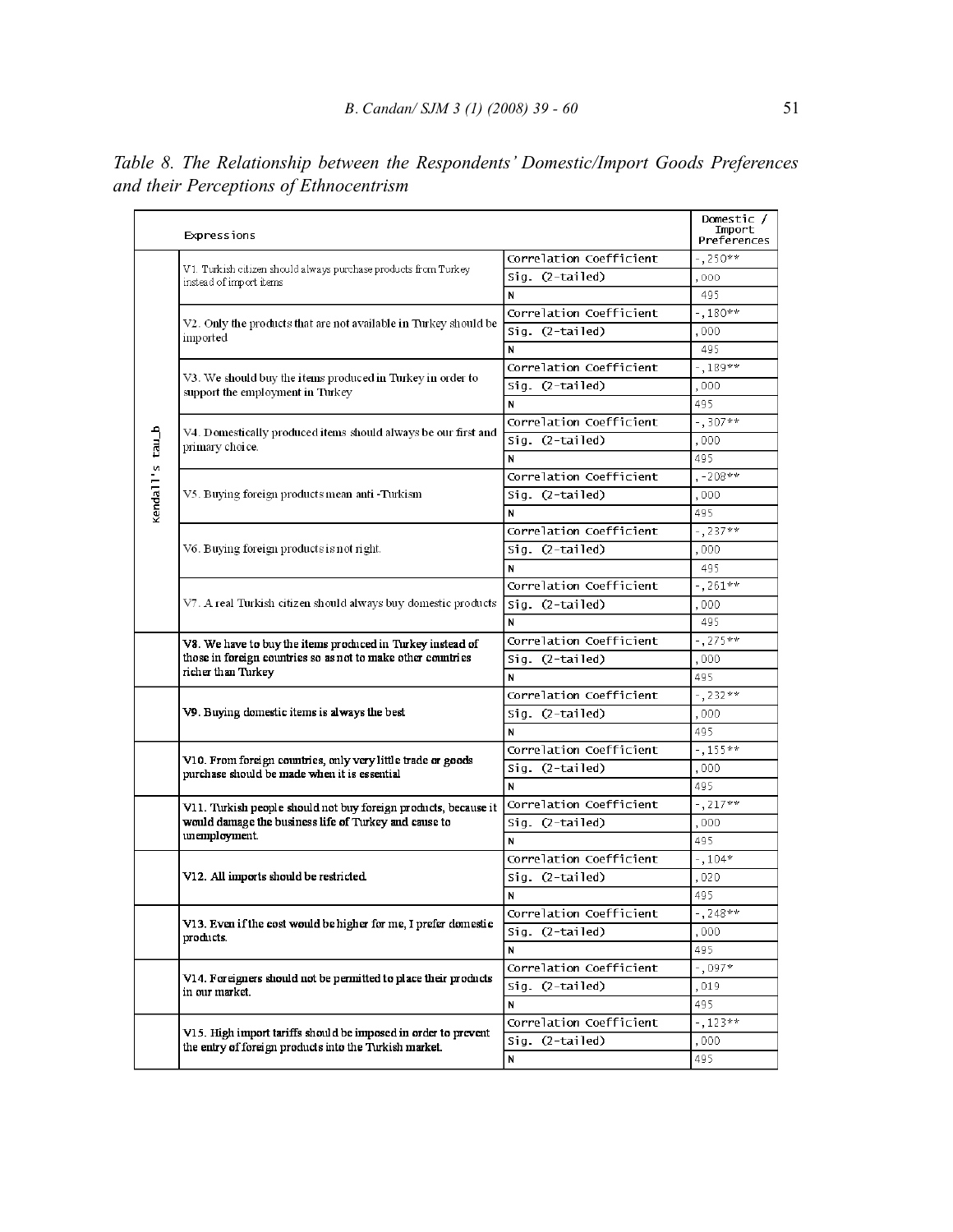|                 | <b>Expressions</b>                                                                                                         |                         | Domestic /<br>Import<br>Preferences                                                                                                                                                                                                                                                                 |
|-----------------|----------------------------------------------------------------------------------------------------------------------------|-------------------------|-----------------------------------------------------------------------------------------------------------------------------------------------------------------------------------------------------------------------------------------------------------------------------------------------------|
|                 |                                                                                                                            | Correlation Coefficient | -.250**                                                                                                                                                                                                                                                                                             |
|                 | V1. Turkish citizen should always purchase products from Turkey<br>instead of import items                                 | Sig. (2-tailed)         | ,000                                                                                                                                                                                                                                                                                                |
|                 |                                                                                                                            | N                       | 495                                                                                                                                                                                                                                                                                                 |
|                 |                                                                                                                            | Correlation Coefficient | $-.180**$                                                                                                                                                                                                                                                                                           |
|                 | V2. Only the products that are not available in Turkey should be<br>imported                                               | Sig. (2-tailed)         | ,000                                                                                                                                                                                                                                                                                                |
|                 |                                                                                                                            | N                       | 495                                                                                                                                                                                                                                                                                                 |
|                 |                                                                                                                            | Correlation Coefficient | $-.189**$                                                                                                                                                                                                                                                                                           |
|                 | V3. We should buy the items produced in Turkey in order to<br>support the employment in Turkey                             | Sig. (2-tailed)         | ,000                                                                                                                                                                                                                                                                                                |
|                 |                                                                                                                            | N                       | 495                                                                                                                                                                                                                                                                                                 |
|                 |                                                                                                                            | Correlation Coefficient | $-1.307**$                                                                                                                                                                                                                                                                                          |
|                 | V4. Domestically produced items should always be our first and                                                             | Sig. (2-tailed)         | ,000                                                                                                                                                                                                                                                                                                |
|                 | primary choice.                                                                                                            | N                       | 495                                                                                                                                                                                                                                                                                                 |
|                 |                                                                                                                            | Correlation Coefficient |                                                                                                                                                                                                                                                                                                     |
|                 | V5. Buying foreign products mean anti -Turkism                                                                             | Sig. (2-tailed)         |                                                                                                                                                                                                                                                                                                     |
| kendall's tau_b |                                                                                                                            | N                       |                                                                                                                                                                                                                                                                                                     |
|                 |                                                                                                                            | Correlation Coefficient |                                                                                                                                                                                                                                                                                                     |
|                 | V6. Buying foreign products is not right.                                                                                  | Sig. (2-tailed)         |                                                                                                                                                                                                                                                                                                     |
|                 |                                                                                                                            | N                       | $, -208**$<br>,000<br>495<br>$-1237**$<br>,000<br>495<br>$-7261**$<br>.000<br>495<br>$-1275**$<br>,000<br>495<br>$-1,232**$<br>,000<br>495<br>$-155**$<br>,000<br>495<br>$-.217**$<br>,000<br>495<br>$-104*$<br>,020<br>495<br>$-$ , 248**<br>,000,<br>495<br>$-$ , 097*<br>,019<br>495<br>$-123**$ |
|                 |                                                                                                                            | Correlation Coefficient |                                                                                                                                                                                                                                                                                                     |
|                 | V7. A real Turkish citizen should always buy domestic products                                                             | Sig. (2-tailed)         |                                                                                                                                                                                                                                                                                                     |
|                 |                                                                                                                            | N                       |                                                                                                                                                                                                                                                                                                     |
|                 |                                                                                                                            |                         |                                                                                                                                                                                                                                                                                                     |
|                 | V8. We have to buy the items produced in Turkey instead of<br>those in foreign countries so as not to make other countries | Correlation Coefficient |                                                                                                                                                                                                                                                                                                     |
|                 | richer than Turkey                                                                                                         | Sig. (2-tailed)         |                                                                                                                                                                                                                                                                                                     |
|                 |                                                                                                                            | N                       |                                                                                                                                                                                                                                                                                                     |
|                 |                                                                                                                            | Correlation Coefficient |                                                                                                                                                                                                                                                                                                     |
|                 | V9. Buying domestic items is always the best                                                                               | Sig. (2-tailed)         |                                                                                                                                                                                                                                                                                                     |
|                 |                                                                                                                            | N                       |                                                                                                                                                                                                                                                                                                     |
|                 | V10. From foreign countries, only very little trade or goods                                                               | Correlation Coefficient |                                                                                                                                                                                                                                                                                                     |
|                 | purchase should be made when it is essential                                                                               | Sig. (2-tailed)         |                                                                                                                                                                                                                                                                                                     |
|                 |                                                                                                                            | N                       |                                                                                                                                                                                                                                                                                                     |
|                 | V11. Turkish people should not buy foreign products, because it                                                            | Correlation Coefficient |                                                                                                                                                                                                                                                                                                     |
|                 | would damage the business life of Turkey and cause to                                                                      | Sig. (2-tailed)         |                                                                                                                                                                                                                                                                                                     |
|                 | unemployment.                                                                                                              | N                       |                                                                                                                                                                                                                                                                                                     |
|                 |                                                                                                                            | Correlation Coefficient |                                                                                                                                                                                                                                                                                                     |
|                 | V12. All imports should be restricted                                                                                      | Sig. (2-tailed)         | ,000<br>495                                                                                                                                                                                                                                                                                         |
|                 |                                                                                                                            | N                       |                                                                                                                                                                                                                                                                                                     |
|                 |                                                                                                                            | Correlation Coefficient |                                                                                                                                                                                                                                                                                                     |
|                 | V13. Even if the cost would be higher for me, I prefer domestic<br>products.                                               | Sig. (2-tailed)         |                                                                                                                                                                                                                                                                                                     |
|                 |                                                                                                                            | И                       |                                                                                                                                                                                                                                                                                                     |
|                 |                                                                                                                            | Correlation Coefficient |                                                                                                                                                                                                                                                                                                     |
|                 | V14. Foreigners should not be permitted to place their products<br>in our market.                                          | Sig. (2-tailed)         |                                                                                                                                                                                                                                                                                                     |
|                 |                                                                                                                            | N                       |                                                                                                                                                                                                                                                                                                     |
|                 |                                                                                                                            | Correlation Coefficient |                                                                                                                                                                                                                                                                                                     |
|                 | V15. High import tariffs should be imposed in order to prevent                                                             | Sig. (2-tailed)         |                                                                                                                                                                                                                                                                                                     |
|                 | the entry of foreign products into the Turkish market.                                                                     | N                       |                                                                                                                                                                                                                                                                                                     |
|                 |                                                                                                                            |                         |                                                                                                                                                                                                                                                                                                     |

*Table 8. The Relationship between the Respondents' Domestic/Import Goods Preferences and their Perceptions of Ethnocentrism*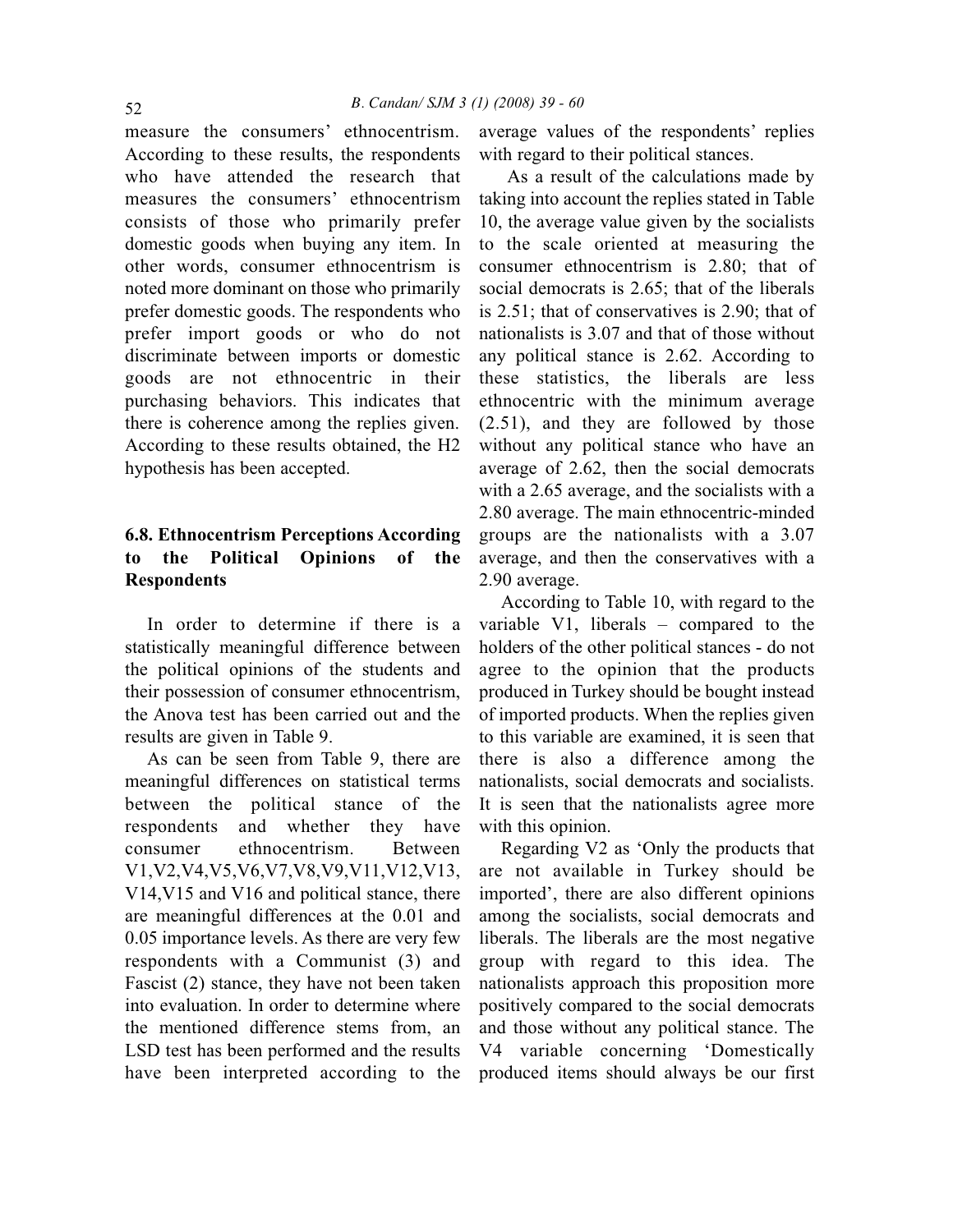measure the consumers' ethnocentrism. According to these results, the respondents who have attended the research that measures the consumers' ethnocentrism consists of those who primarily prefer domestic goods when buying any item. In other words, consumer ethnocentrism is noted more dominant on those who primarily prefer domestic goods. The respondents who prefer import goods or who do not discriminate between imports or domestic goods are not ethnocentric in their purchasing behaviors. This indicates that there is coherence among the replies given. According to these results obtained, the H2 hypothesis has been accepted.

## **6.8. Ethnocentrism Perceptions According to the Political Opinions of the Respondents**

In order to determine if there is a statistically meaningful difference between the political opinions of the students and their possession of consumer ethnocentrism, the Anova test has been carried out and the results are given in Table 9.

As can be seen from Table 9, there are meaningful differences on statistical terms between the political stance of the respondents and whether they have consumer ethnocentrism. Between V1,V2,V4,V5,V6,V7,V8,V9,V11,V12,V13, V14,V15 and V16 and political stance, there are meaningful differences at the 0.01 and 0.05 importance levels. As there are very few respondents with a Communist (3) and Fascist (2) stance, they have not been taken into evaluation. In order to determine where the mentioned difference stems from, an LSD test has been performed and the results have been interpreted according to the average values of the respondents' replies with regard to their political stances.

As a result of the calculations made by taking into account the replies stated in Table 10, the average value given by the socialists to the scale oriented at measuring the consumer ethnocentrism is 2.80; that of social democrats is 2.65; that of the liberals is 2.51; that of conservatives is 2.90; that of nationalists is 3.07 and that of those without any political stance is 2.62. According to these statistics, the liberals are less ethnocentric with the minimum average (2.51), and they are followed by those without any political stance who have an average of 2.62, then the social democrats with a 2.65 average, and the socialists with a 2.80 average. The main ethnocentric-minded groups are the nationalists with a 3.07 average, and then the conservatives with a 2.90 average.

According to Table 10, with regard to the variable V1, liberals – compared to the holders of the other political stances - do not agree to the opinion that the products produced in Turkey should be bought instead of imported products. When the replies given to this variable are examined, it is seen that there is also a difference among the nationalists, social democrats and socialists. It is seen that the nationalists agree more with this opinion.

Regarding V2 as 'Only the products that are not available in Turkey should be imported', there are also different opinions among the socialists, social democrats and liberals. The liberals are the most negative group with regard to this idea. The nationalists approach this proposition more positively compared to the social democrats and those without any political stance. The V4 variable concerning 'Domestically produced items should always be our first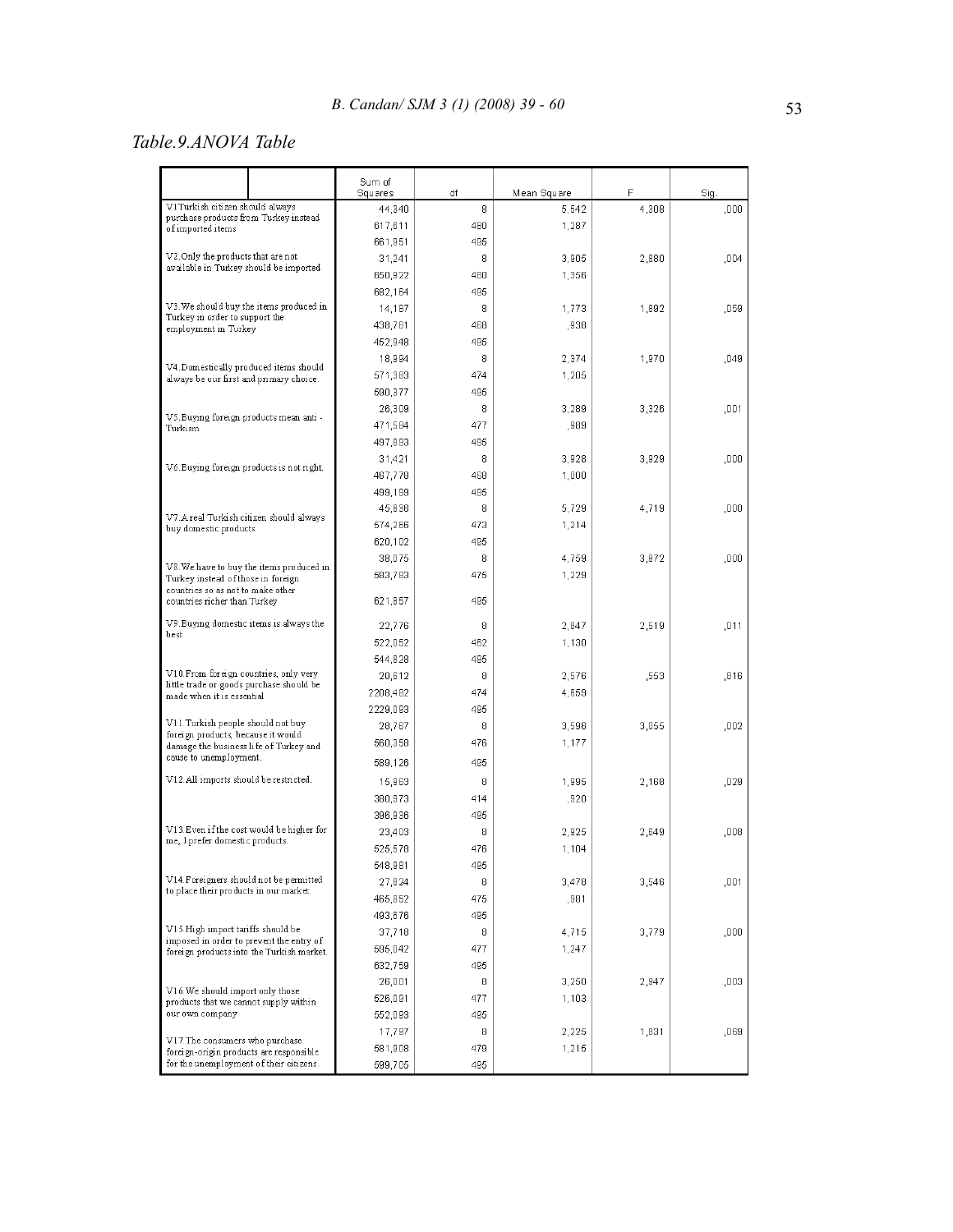## *Table.9.ANOVA Table*

|                                                                                       |                                          | Sum of<br>Squares  | df  | Mean Square | F     | Sig.  |
|---------------------------------------------------------------------------------------|------------------------------------------|--------------------|-----|-------------|-------|-------|
| V1Turkish citizen should always                                                       |                                          | 44.340             | 8   | 5,542       | 4,308 | ,000  |
| purchase products from Turkey instead<br>of imported items                            |                                          | 617,611            | 480 | 1,287       |       |       |
|                                                                                       |                                          | 661,951            | 495 |             |       |       |
| V2. Only the products that are not                                                    |                                          | 31,241             | 8   | 3,905       | 2,880 | .004  |
| available in Turkey should be imported                                                |                                          | 650,922            | 480 | 1,356       |       |       |
|                                                                                       |                                          | 682,164            | 495 |             |       |       |
| V3. We should buy the items produced in                                               |                                          | 14,187             | 8   | 1,773       | 1,892 | ,059  |
| Turkey in order to support the                                                        |                                          | 438,761            | 468 | ,938        |       |       |
| employment in Turkey                                                                  |                                          | 452,948            | 495 |             |       |       |
|                                                                                       |                                          | 18,994             | 8   | 2,374       | 1,970 | .049  |
| V4. Domestically produced items should                                                |                                          | 571,383            | 474 | 1,205       |       |       |
| always be our first and primary choice.                                               |                                          | 590,377            | 495 |             |       |       |
|                                                                                       |                                          | 26,309             | 8   | 3,289       | 3,326 | ,001  |
| V5. Buying foreign products mean anti -                                               |                                          | 471,584            | 477 | ,989        |       |       |
| Turkism                                                                               |                                          | 497,893            | 495 |             |       |       |
|                                                                                       |                                          | 31,421             | 8   | 3,928       | 3,929 | ,000  |
| V6. Buying foreign products is not right.                                             |                                          |                    | 468 | 1,000       |       |       |
|                                                                                       |                                          | 467,778<br>499,199 | 495 |             |       |       |
|                                                                                       |                                          | 45,836             | 8   | 5,729       | 4,719 | ,000  |
| V7. A real Turkish citizen should always                                              |                                          | 574,266            | 473 | 1,214       |       |       |
| buy domestic products                                                                 |                                          |                    | 495 |             |       |       |
|                                                                                       |                                          | 620,102            | 8   | 4,759       |       | .000. |
|                                                                                       | V8. We have to buy the items produced in | 38,075             | 475 |             | 3,872 |       |
| Turkey instead of those in foreign<br>countries so as not to make other               |                                          | 583,783            |     | 1,229       |       |       |
| countries richer than Turkey                                                          |                                          | 621,857            | 495 |             |       |       |
| V9. Buying domestic items is always the<br>best                                       |                                          | 22,776             | 8   | 2,847       | 2,519 | ,011  |
|                                                                                       |                                          | 522,052            | 462 | 1,130       |       |       |
|                                                                                       |                                          | 544,828            | 495 |             |       |       |
| V10. From foreign countries, only very<br>little trade or goods purchase should be    |                                          | 20,612             | 8   | 2,576       | .553  | ,816  |
| made when it is essential                                                             |                                          | 2208,482           | 474 | 4,659       |       |       |
|                                                                                       |                                          | 2229,093           | 495 |             |       |       |
| V11. Turkish people should not buy<br>foreign products, because it would              |                                          | 28,767             | 8   | 3,596       | 3,055 | ,002  |
| damage the business life of Turkey and                                                |                                          | 560,358            | 476 | 1,177       |       |       |
| cause to unemployment.                                                                |                                          | 589,126            | 495 |             |       |       |
| V12.All imports should be restricted.                                                 |                                          | 15,963             | 8   | 1,995       | 2,168 | .029  |
|                                                                                       |                                          | 380,973            | 414 | ,920        |       |       |
|                                                                                       |                                          | 396,936            | 495 |             |       |       |
| V13. Even if the cost would be higher for                                             |                                          | 23,403             | 8   | 2,925       | 2,649 | ,008  |
| me, I prefer domestic products.                                                       |                                          | 525,578            | 476 | 1,104       |       |       |
|                                                                                       |                                          | 548,981            | 495 |             |       |       |
| V14. Foreigners should not be permitted                                               |                                          | 27,824             | 8   | 3,478       | 3,546 | ,001  |
| to place their products in our market.                                                |                                          | 465,852            | 475 | ,981        |       |       |
|                                                                                       |                                          | 493,676            | 495 |             |       |       |
| V15. High import tariffs should be                                                    |                                          | 37,718             | 8   | 4,715       | 3,779 | ,000  |
| imposed in order to prevent the entry of<br>foreign products into the Turkish market. |                                          | 595,042            | 477 | 1,247       |       |       |
|                                                                                       |                                          | 632,759            | 495 |             |       |       |
|                                                                                       |                                          | 26,001             | 8   | 3,250       | 2,947 | ,003  |
| V16. We should import only those<br>products that we cannot supply within             |                                          | 526,091            | 477 | 1,103       |       |       |
| our own company                                                                       |                                          | 552,093            | 495 |             |       |       |
|                                                                                       |                                          | 17,797             | 8   | 2,225       | 1,831 | ,069  |
| V17. The consumers who purchase<br>foreign-origin products are responsible            |                                          | 581,908            | 479 | 1,215       |       |       |
| for the unemployment of their citizens.                                               |                                          | 599,705            | 495 |             |       |       |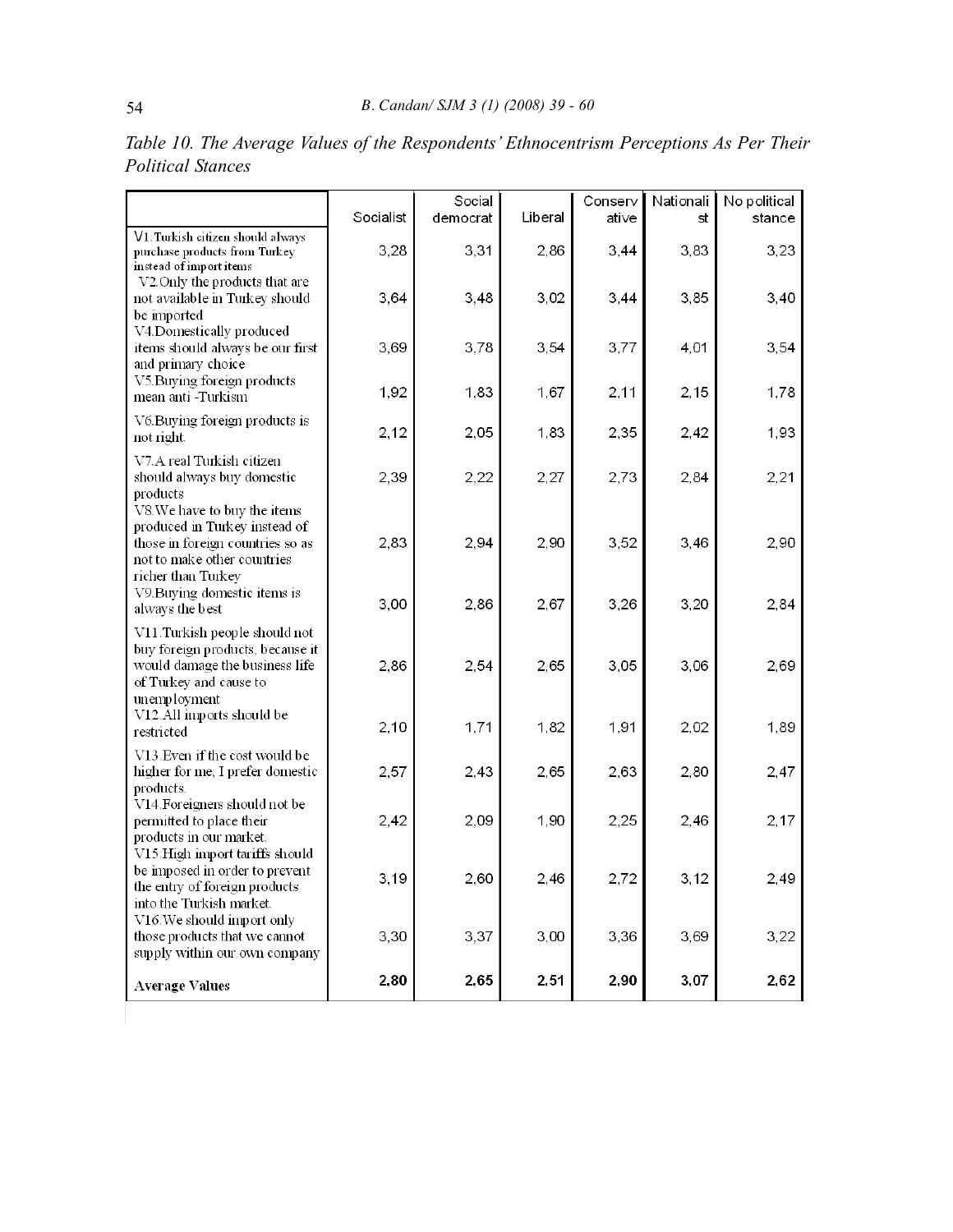|                                                                                                                                                | Socialist | Social<br>democrat | Liberal | Conserv<br>ati∨e | Nationali<br>st | No political<br>stance |
|------------------------------------------------------------------------------------------------------------------------------------------------|-----------|--------------------|---------|------------------|-----------------|------------------------|
| V1. Turkish citizen should always<br>purchase products from Turkey<br>instead of import items                                                  | 3,28      | 3,31               | 2,86    | 3,44             | 3,83            | 3,23                   |
| V2. Only the products that are<br>not available in Turkey should<br>be imported                                                                | 3,64      | 3,48               | 3,02    | 3,44             | 3,85            | 3,40                   |
| V4.Domestically produced<br>items should always be our first<br>and primary choice                                                             | 3,69      | 3,78               | 3,54    | 3,77             | 4,01            | 3,54                   |
| V5. Buying foreign products<br>mean anti -Turkism                                                                                              | 1,92      | 1,83               | 1,67    | 2,11             | 2,15            | 1,78                   |
| V6. Buying foreign products is<br>not right.                                                                                                   | 2,12      | 2,05               | 1,83    | 2,35             | 2,42            | 1,93                   |
| V7.A real Turkish citizen<br>should always buy domestic<br>products<br>V8. We have to buy the items                                            | 2,39      | 2,22               | 2,27    | 2,73             | 2,84            | 2,21                   |
| produced in Turkey instead of<br>those in foreign countries so as<br>not to make other countries<br>richer than Turkey                         | 2,83      | 2,94               | 2,90    | 3,52             | 3,46            | 2,90                   |
| V9. Buying domestic items is<br>always the best                                                                                                | 3,00      | 2,86               | 2,67    | 3,26             | 3,20            | 2,84                   |
| V11. Turkish people should not<br>buy foreign products, because it<br>would damage the business life<br>of Turkey and cause to<br>unemployment | 2,86      | 2,54               | 2,65    | 3,05             | 3,06            | 2,69                   |
| V12.All imports should be<br>restricted                                                                                                        | 2,10      | 1,71               | 1.82    | 1.91             | 2.02            | 1,89                   |
| V13. Even if the cost would be<br>higher for me, I prefer domestic<br>products.                                                                | 2,57      | 2,43               | 2,65    | 2,63             | 2,80            | 2,47                   |
| V14. Foreigners should not be<br>permitted to place their<br>products in our market.<br>V15. High import tariffs should                        | 2,42      | 2,09               | 1,90    | 2,25             | 2,46            | 2,17                   |
| be imposed in order to prevent<br>the entry of foreign products<br>into the Turkish market.                                                    | 3,19      | 2,60               | 2,46    | 2,72             | 3.12            | 2,49                   |
| V16. We should import only<br>those products that we cannot<br>supply within our own company                                                   | 3,30      | 3,37               | 3,00    | 3,36             | 3,69            | 3,22                   |
| <b>Average Values</b>                                                                                                                          | 2,80      | 2,65               | 2,51    | 2,90             | 3,07            | 2,62                   |

*Table 10. The Average Values of the Respondents' Ethnocentrism Perceptions As Per Their Political Stances*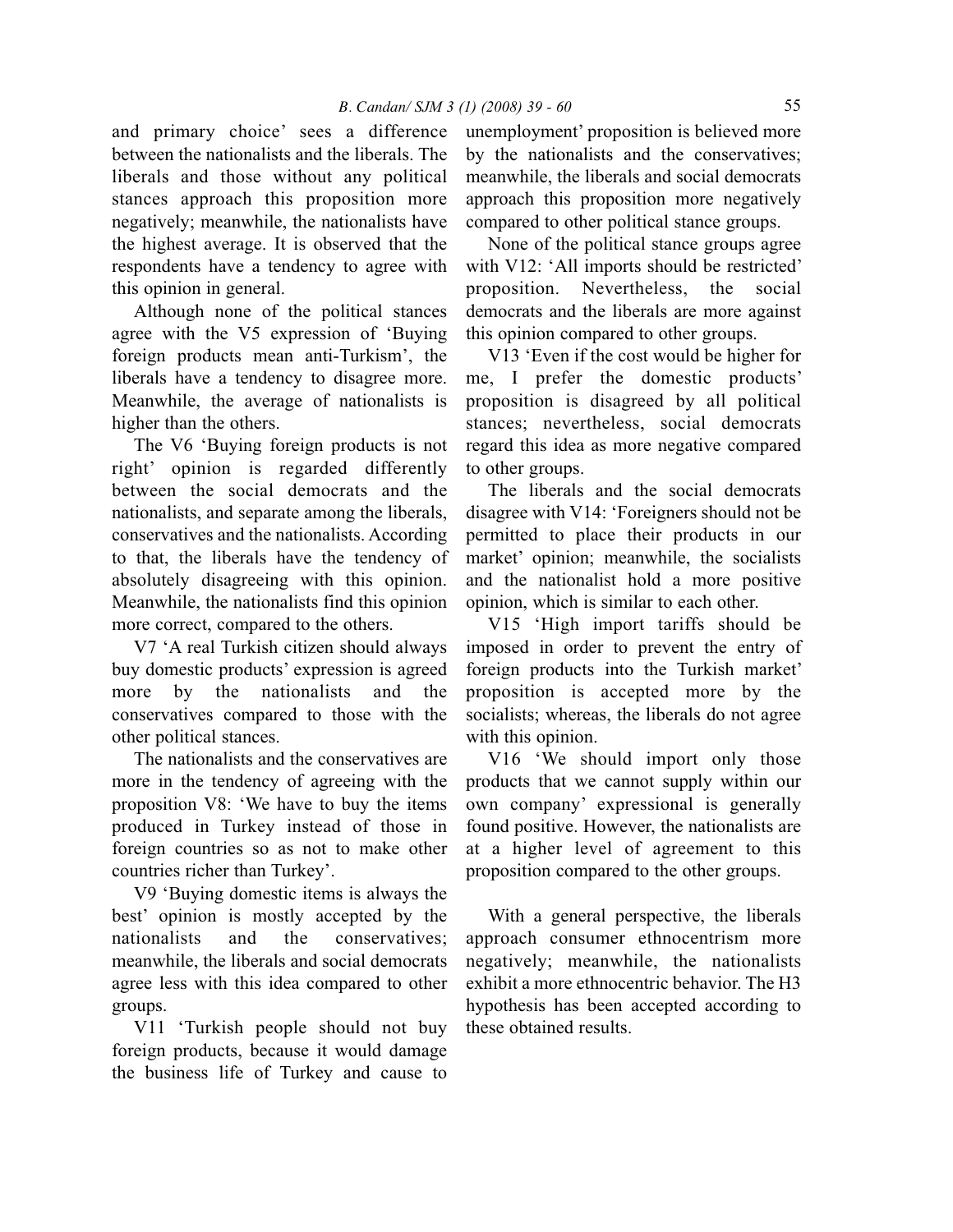and primary choice' sees a difference between the nationalists and the liberals. The liberals and those without any political stances approach this proposition more negatively; meanwhile, the nationalists have the highest average. It is observed that the respondents have a tendency to agree with this opinion in general.

Although none of the political stances agree with the V5 expression of 'Buying foreign products mean anti-Turkism', the liberals have a tendency to disagree more. Meanwhile, the average of nationalists is higher than the others.

The V6 'Buying foreign products is not right' opinion is regarded differently between the social democrats and the nationalists, and separate among the liberals, conservatives and the nationalists. According to that, the liberals have the tendency of absolutely disagreeing with this opinion. Meanwhile, the nationalists find this opinion more correct, compared to the others.

V7 'A real Turkish citizen should always buy domestic products' expression is agreed more by the nationalists and the conservatives compared to those with the other political stances.

The nationalists and the conservatives are more in the tendency of agreeing with the proposition V8: 'We have to buy the items produced in Turkey instead of those in foreign countries so as not to make other countries richer than Turkey'.

V9 'Buying domestic items is always the best' opinion is mostly accepted by the nationalists and the conservatives; meanwhile, the liberals and social democrats agree less with this idea compared to other groups.

V11 'Turkish people should not buy foreign products, because it would damage the business life of Turkey and cause to

unemployment' proposition is believed more by the nationalists and the conservatives; meanwhile, the liberals and social democrats approach this proposition more negatively compared to other political stance groups.

None of the political stance groups agree with V12: 'All imports should be restricted' proposition. Nevertheless, the social democrats and the liberals are more against this opinion compared to other groups.

V13 'Even if the cost would be higher for me, I prefer the domestic products' proposition is disagreed by all political stances; nevertheless, social democrats regard this idea as more negative compared to other groups.

The liberals and the social democrats disagree with V14: 'Foreigners should not be permitted to place their products in our market' opinion; meanwhile, the socialists and the nationalist hold a more positive opinion, which is similar to each other.

V15 'High import tariffs should be imposed in order to prevent the entry of foreign products into the Turkish market' proposition is accepted more by the socialists; whereas, the liberals do not agree with this opinion.

V16 'We should import only those products that we cannot supply within our own company' expressional is generally found positive. However, the nationalists are at a higher level of agreement to this proposition compared to the other groups.

With a general perspective, the liberals approach consumer ethnocentrism more negatively; meanwhile, the nationalists exhibit a more ethnocentric behavior. The H3 hypothesis has been accepted according to these obtained results.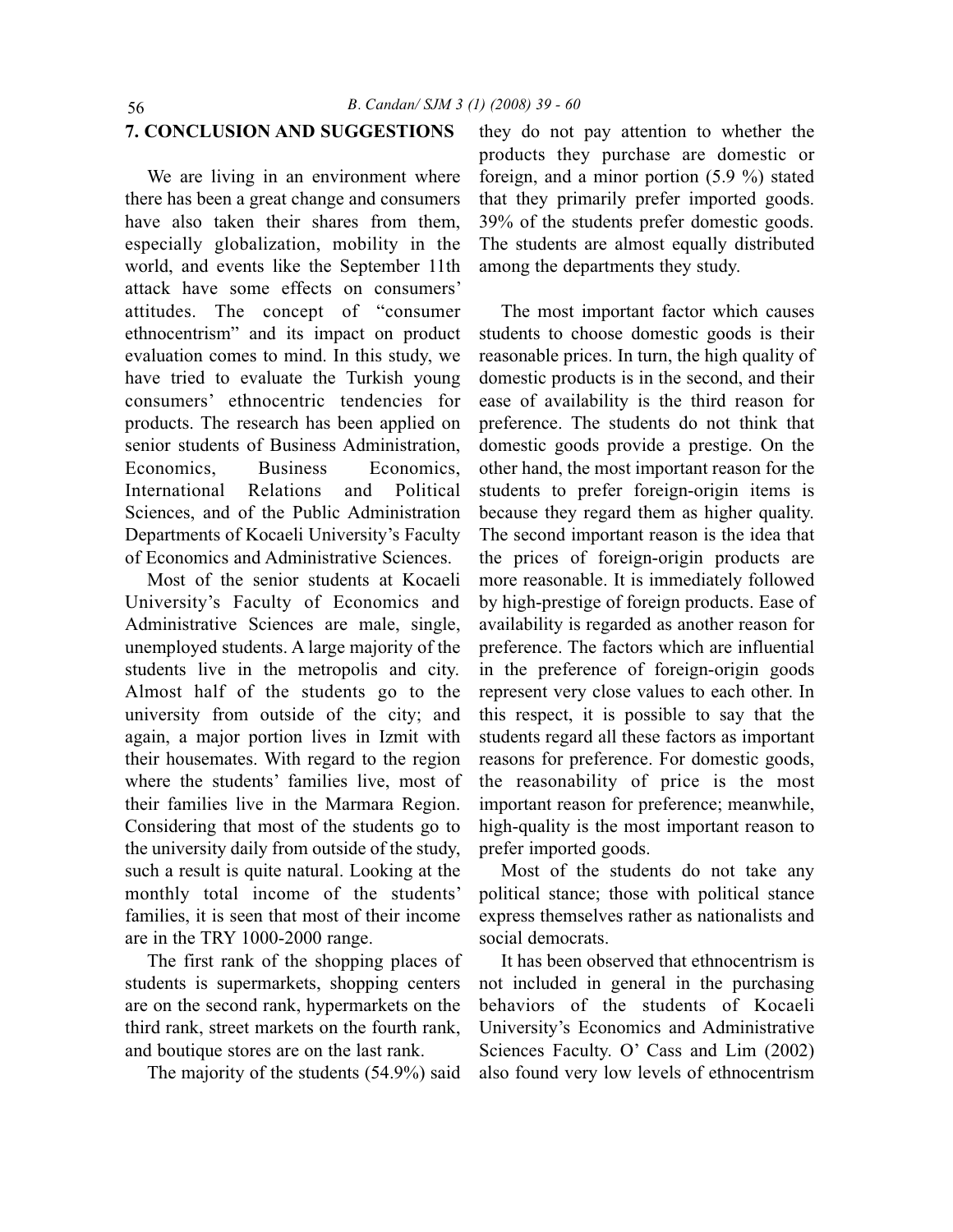#### **7. CONCLUSION AND SUGGESTIONS**

We are living in an environment where there has been a great change and consumers have also taken their shares from them, especially globalization, mobility in the world, and events like the September 11th attack have some effects on consumers' attitudes. The concept of "consumer ethnocentrism" and its impact on product evaluation comes to mind. In this study, we have tried to evaluate the Turkish young consumers' ethnocentric tendencies for products. The research has been applied on senior students of Business Administration, Economics, Business Economics, International Relations and Political Sciences, and of the Public Administration Departments of Kocaeli University's Faculty of Economics and Administrative Sciences.

Most of the senior students at Kocaeli University's Faculty of Economics and Administrative Sciences are male, single, unemployed students. A large majority of the students live in the metropolis and city. Almost half of the students go to the university from outside of the city; and again, a major portion lives in Izmit with their housemates. With regard to the region where the students' families live, most of their families live in the Marmara Region. Considering that most of the students go to the university daily from outside of the study, such a result is quite natural. Looking at the monthly total income of the students' families, it is seen that most of their income are in the TRY 1000-2000 range.

The first rank of the shopping places of students is supermarkets, shopping centers are on the second rank, hypermarkets on the third rank, street markets on the fourth rank, and boutique stores are on the last rank.

The majority of the students (54.9%) said

they do not pay attention to whether the products they purchase are domestic or foreign, and a minor portion (5.9 %) stated that they primarily prefer imported goods. 39% of the students prefer domestic goods. The students are almost equally distributed among the departments they study.

The most important factor which causes students to choose domestic goods is their reasonable prices. In turn, the high quality of domestic products is in the second, and their ease of availability is the third reason for preference. The students do not think that domestic goods provide a prestige. On the other hand, the most important reason for the students to prefer foreign-origin items is because they regard them as higher quality. The second important reason is the idea that the prices of foreign-origin products are more reasonable. It is immediately followed by high-prestige of foreign products. Ease of availability is regarded as another reason for preference. The factors which are influential in the preference of foreign-origin goods represent very close values to each other. In this respect, it is possible to say that the students regard all these factors as important reasons for preference. For domestic goods, the reasonability of price is the most important reason for preference; meanwhile, high-quality is the most important reason to prefer imported goods.

Most of the students do not take any political stance; those with political stance express themselves rather as nationalists and social democrats.

It has been observed that ethnocentrism is not included in general in the purchasing behaviors of the students of Kocaeli University's Economics and Administrative Sciences Faculty. O' Cass and Lim (2002) also found very low levels of ethnocentrism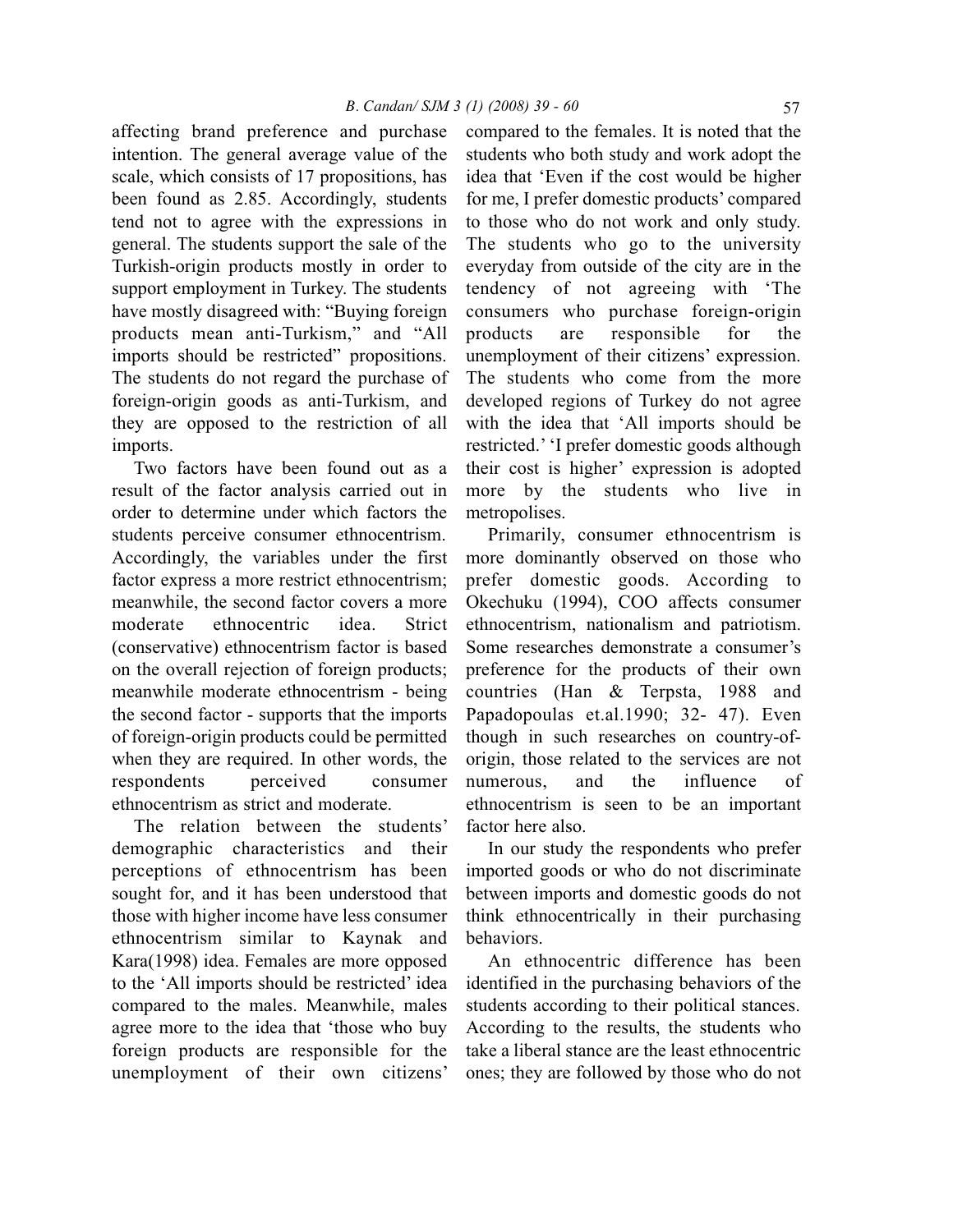affecting brand preference and purchase intention. The general average value of the scale, which consists of 17 propositions, has been found as 2.85. Accordingly, students tend not to agree with the expressions in general. The students support the sale of the Turkish-origin products mostly in order to support employment in Turkey. The students have mostly disagreed with: "Buying foreign products mean anti-Turkism," and "All imports should be restricted" propositions. The students do not regard the purchase of foreign-origin goods as anti-Turkism, and they are opposed to the restriction of all imports.

Two factors have been found out as a result of the factor analysis carried out in order to determine under which factors the students perceive consumer ethnocentrism. Accordingly, the variables under the first factor express a more restrict ethnocentrism; meanwhile, the second factor covers a more moderate ethnocentric idea. Strict (conservative) ethnocentrism factor is based on the overall rejection of foreign products; meanwhile moderate ethnocentrism - being the second factor - supports that the imports of foreign-origin products could be permitted when they are required. In other words, the respondents perceived consumer ethnocentrism as strict and moderate.

The relation between the students' demographic characteristics and their perceptions of ethnocentrism has been sought for, and it has been understood that those with higher income have less consumer ethnocentrism similar to Kaynak and Kara(1998) idea. Females are more opposed to the 'All imports should be restricted' idea compared to the males. Meanwhile, males agree more to the idea that 'those who buy foreign products are responsible for the unemployment of their own citizens' compared to the females. It is noted that the students who both study and work adopt the idea that 'Even if the cost would be higher for me, I prefer domestic products' compared to those who do not work and only study. The students who go to the university everyday from outside of the city are in the tendency of not agreeing with 'The consumers who purchase foreign-origin products are responsible for the unemployment of their citizens' expression. The students who come from the more developed regions of Turkey do not agree with the idea that 'All imports should be restricted.' 'I prefer domestic goods although their cost is higher' expression is adopted more by the students who live in metropolises.

Primarily, consumer ethnocentrism is more dominantly observed on those who prefer domestic goods. According to Okechuku (1994), COO affects consumer ethnocentrism, nationalism and patriotism. Some researches demonstrate a consumer's preference for the products of their own countries (Han & Terpsta, 1988 and Papadopoulas et.al.1990; 32- 47). Even though in such researches on country-oforigin, those related to the services are not numerous, and the influence of ethnocentrism is seen to be an important factor here also.

In our study the respondents who prefer imported goods or who do not discriminate between imports and domestic goods do not think ethnocentrically in their purchasing behaviors.

An ethnocentric difference has been identified in the purchasing behaviors of the students according to their political stances. According to the results, the students who take a liberal stance are the least ethnocentric ones; they are followed by those who do not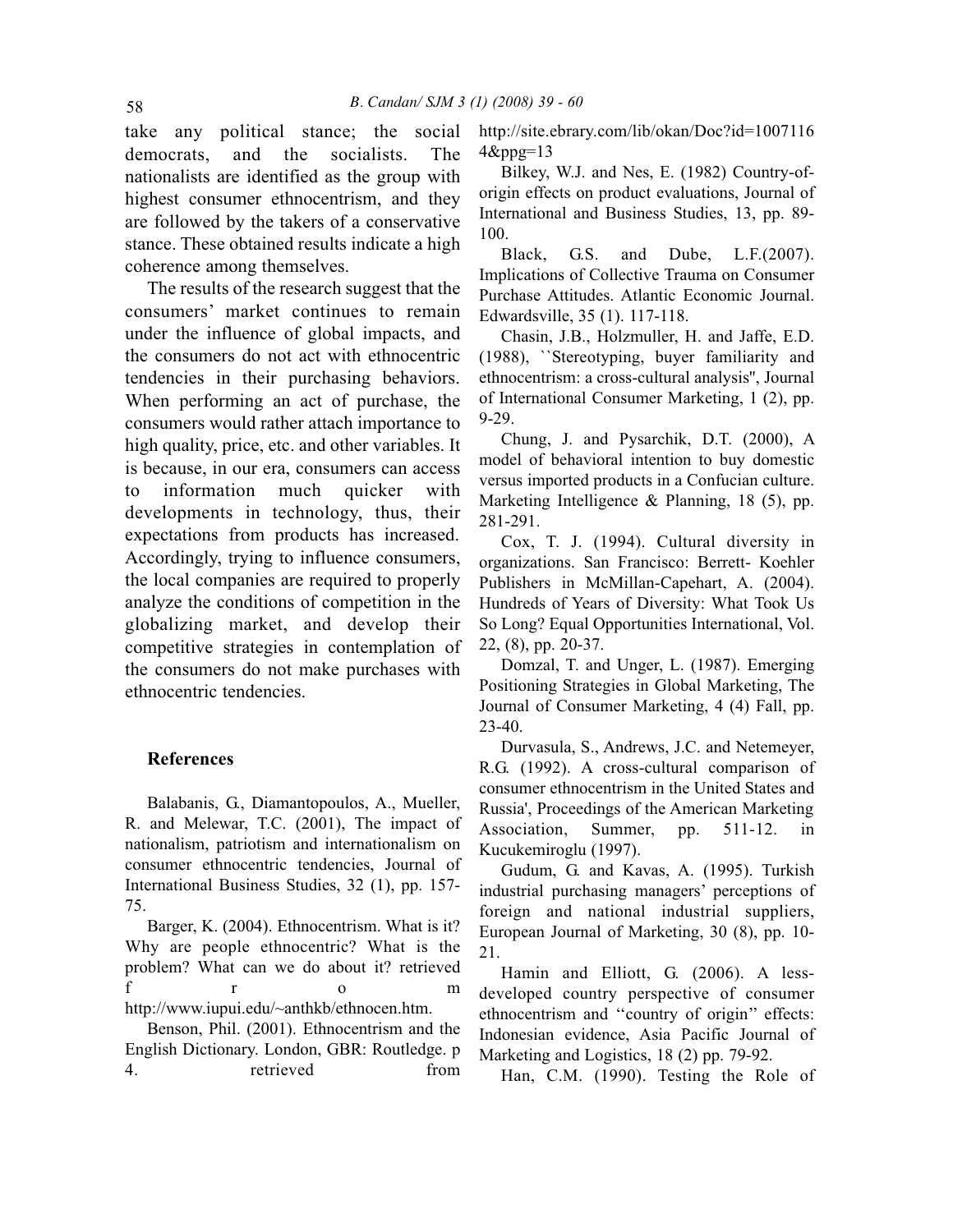take any political stance; the social democrats, and the socialists. The nationalists are identified as the group with highest consumer ethnocentrism, and they are followed by the takers of a conservative stance. These obtained results indicate a high coherence among themselves.

The results of the research suggest that the consumers' market continues to remain under the influence of global impacts, and the consumers do not act with ethnocentric tendencies in their purchasing behaviors. When performing an act of purchase, the consumers would rather attach importance to high quality, price, etc. and other variables. It is because, in our era, consumers can access to information much quicker with developments in technology, thus, their expectations from products has increased. Accordingly, trying to influence consumers, the local companies are required to properly analyze the conditions of competition in the globalizing market, and develop their competitive strategies in contemplation of the consumers do not make purchases with ethnocentric tendencies.

#### **References**

Balabanis, G., Diamantopoulos, A., Mueller, R. and Melewar, T.C. (2001), The impact of nationalism, patriotism and internationalism on consumer ethnocentric tendencies, Journal of International Business Studies, 32 (1), pp. 157- 75.

Barger, K. (2004). Ethnocentrism. What is it? Why are people ethnocentric? What is the problem? What can we do about it? retrieved f r o m http://www.iupui.edu/~anthkb/ethnocen.htm.

Benson, Phil. (2001). Ethnocentrism and the English Dictionary. London, GBR: Routledge. p 4. retrieved from http://site.ebrary.com/lib/okan/Doc?id=1007116  $4\&$ ppg=13

Bilkey, W.J. and Nes, E. (1982) Country-oforigin effects on product evaluations, Journal of International and Business Studies, 13, pp. 89- 100.

Black, G.S. and Dube, L.F.(2007). Implications of Collective Trauma on Consumer Purchase Attitudes. Atlantic Economic Journal. Edwardsville, 35 (1). 117-118.

Chasin, J.B., Holzmuller, H. and Jaffe, E.D. (1988), ``Stereotyping, buyer familiarity and ethnocentrism: a cross-cultural analysis'', Journal of International Consumer Marketing, 1 (2), pp. 9-29.

Chung, J. and Pysarchik, D.T. (2000), A model of behavioral intention to buy domestic versus imported products in a Confucian culture. Marketing Intelligence & Planning, 18 (5), pp. 281-291.

Cox, T. J. (1994). Cultural diversity in organizations. San Francisco: Berrett- Koehler Publishers in McMillan-Capehart, A. (2004). Hundreds of Years of Diversity: What Took Us So Long? Equal Opportunities International, Vol. 22, (8), pp. 20-37.

Domzal, T. and Unger, L. (1987). Emerging Positioning Strategies in Global Marketing, The Journal of Consumer Marketing, 4 (4) Fall, pp. 23-40.

Durvasula, S., Andrews, J.C. and Netemeyer, R.G. (1992). A cross-cultural comparison of consumer ethnocentrism in the United States and Russia', Proceedings of the American Marketing Association, Summer, pp. 511-12. in Kucukemiroglu (1997).

Gudum, G. and Kavas, A. (1995). Turkish industrial purchasing managers' perceptions of foreign and national industrial suppliers, European Journal of Marketing, 30 (8), pp. 10- 21.

Hamin and Elliott, G. (2006). A lessdeveloped country perspective of consumer ethnocentrism and ''country of origin'' effects: Indonesian evidence, Asia Pacific Journal of Marketing and Logistics, 18 (2) pp. 79-92.

Han, C.M. (1990). Testing the Role of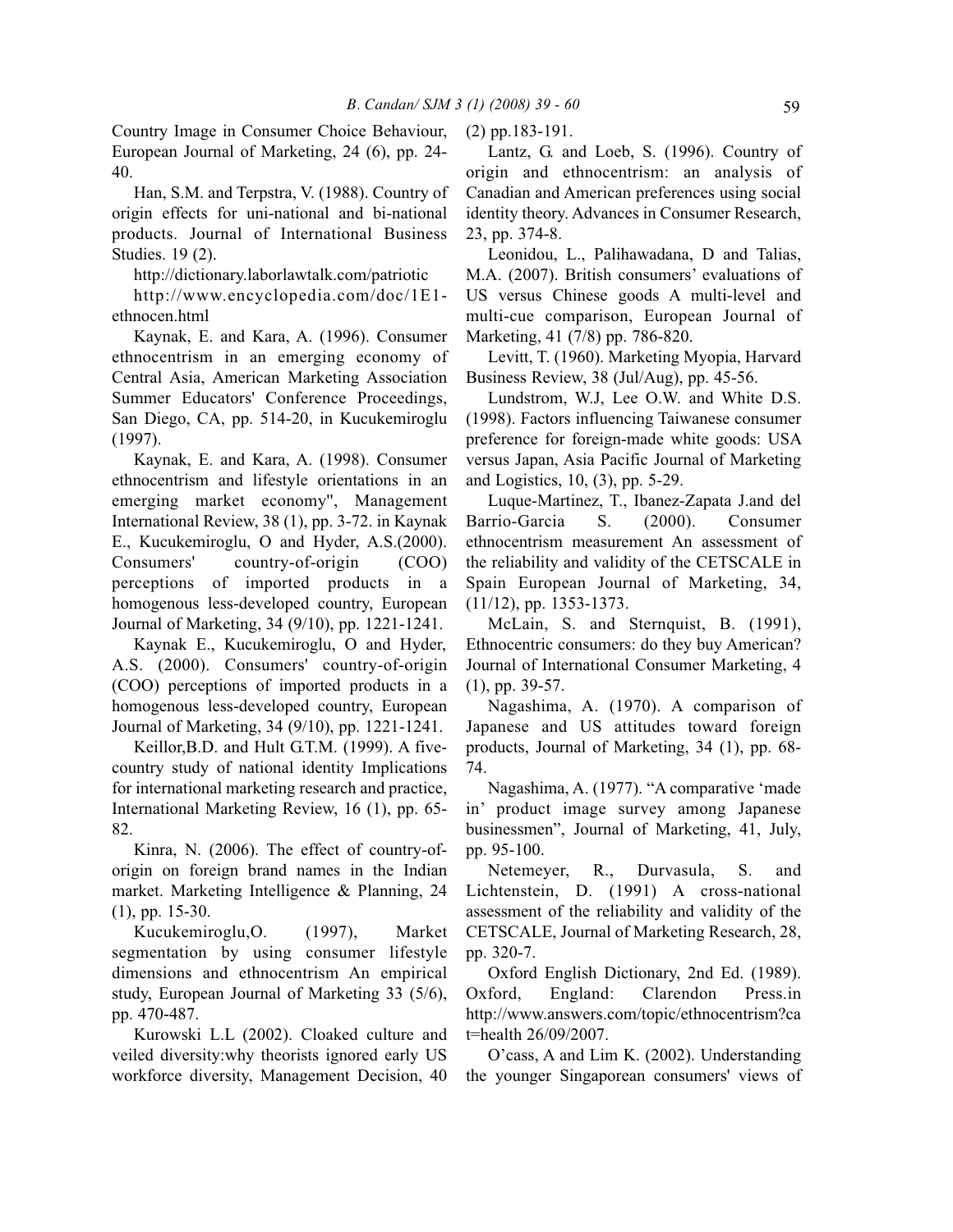Country Image in Consumer Choice Behaviour, European Journal of Marketing, 24 (6), pp. 24- 40.

Han, S.M. and Terpstra, V. (1988). Country of origin effects for uni-national and bi-national products. Journal of International Business Studies. 19 (2).

http://dictionary.laborlawtalk.com/patriotic

http://www.encyclopedia.com/doc/1E1 ethnocen.html

Kaynak, E. and Kara, A. (1996). Consumer ethnocentrism in an emerging economy of Central Asia, American Marketing Association Summer Educators' Conference Proceedings, San Diego, CA, pp. 514-20, in Kucukemiroglu (1997).

Kaynak, E. and Kara, A. (1998). Consumer ethnocentrism and lifestyle orientations in an emerging market economy'', Management International Review, 38 (1), pp. 3-72. in Kaynak E., Kucukemiroglu, O and Hyder, A.S.(2000). Consumers' country-of-origin (COO) perceptions of imported products in a homogenous less-developed country, European Journal of Marketing, 34 (9/10), pp. 1221-1241.

Kaynak E., Kucukemiroglu, O and Hyder, A.S. (2000). Consumers' country-of-origin (COO) perceptions of imported products in a homogenous less-developed country, European Journal of Marketing, 34 (9/10), pp. 1221-1241.

Keillor,B.D. and Hult G.T.M. (1999). A fivecountry study of national identity Implications for international marketing research and practice, International Marketing Review, 16 (1), pp. 65- 82.

Kinra, N. (2006). The effect of country-oforigin on foreign brand names in the Indian market. Marketing Intelligence & Planning, 24 (1), pp. 15-30.

Kucukemiroglu,O. (1997), Market segmentation by using consumer lifestyle dimensions and ethnocentrism An empirical study, European Journal of Marketing 33 (5/6), pp. 470-487.

Kurowski L.L (2002). Cloaked culture and veiled diversity:why theorists ignored early US workforce diversity, Management Decision, 40

(2) pp.183-191.

Lantz, G. and Loeb, S. (1996). Country of origin and ethnocentrism: an analysis of Canadian and American preferences using social identity theory. Advances in Consumer Research, 23, pp. 374-8.

Leonidou, L., Palihawadana, D and Talias, M.A. (2007). British consumers' evaluations of US versus Chinese goods A multi-level and multi-cue comparison, European Journal of Marketing, 41 (7/8) pp. 786-820.

Levitt, T. (1960). Marketing Myopia, Harvard Business Review, 38 (Jul/Aug), pp. 45-56.

Lundstrom, W.J, Lee O.W. and White D.S. (1998). Factors influencing Taiwanese consumer preference for foreign-made white goods: USA versus Japan, Asia Pacific Journal of Marketing and Logistics, 10, (3), pp. 5-29.

Luque-Martinez, T., Ibanez-Zapata J.and del Barrio-Garcia S. (2000). Consumer ethnocentrism measurement An assessment of the reliability and validity of the CETSCALE in Spain European Journal of Marketing, 34, (11/12), pp. 1353-1373.

McLain, S. and Sternquist, B. (1991), Ethnocentric consumers: do they buy American? Journal of International Consumer Marketing, 4 (1), pp. 39-57.

Nagashima, A. (1970). A comparison of Japanese and US attitudes toward foreign products, Journal of Marketing, 34 (1), pp. 68- 74.

Nagashima, A. (1977). "A comparative 'made in' product image survey among Japanese businessmen", Journal of Marketing, 41, July, pp. 95-100.

Netemeyer, R., Durvasula, S. and Lichtenstein, D. (1991) A cross-national assessment of the reliability and validity of the CETSCALE, Journal of Marketing Research, 28, pp. 320-7.

Oxford English Dictionary, 2nd Ed. (1989). Oxford, England: Clarendon Press.in http://www.answers.com/topic/ethnocentrism?ca t=health 26/09/2007.

O'cass, A and Lim K. (2002). Understanding the younger Singaporean consumers' views of